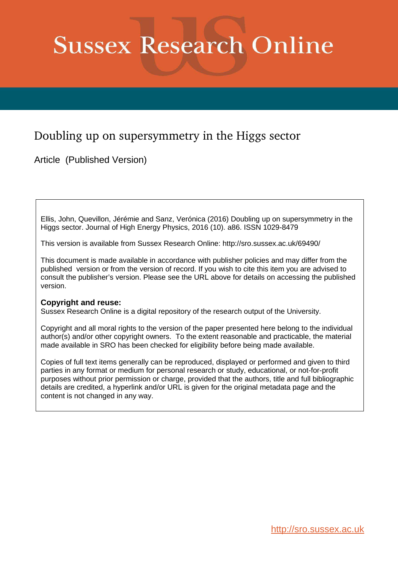# **Sussex Research Online**

# Doubling up on supersymmetry in the Higgs sector

Article (Published Version)

Ellis, John, Quevillon, Jérémie and Sanz, Verónica (2016) Doubling up on supersymmetry in the Higgs sector. Journal of High Energy Physics, 2016 (10). a86. ISSN 1029-8479

This version is available from Sussex Research Online: http://sro.sussex.ac.uk/69490/

This document is made available in accordance with publisher policies and may differ from the published version or from the version of record. If you wish to cite this item you are advised to consult the publisher's version. Please see the URL above for details on accessing the published version.

# **Copyright and reuse:**

Sussex Research Online is a digital repository of the research output of the University.

Copyright and all moral rights to the version of the paper presented here belong to the individual author(s) and/or other copyright owners. To the extent reasonable and practicable, the material made available in SRO has been checked for eligibility before being made available.

Copies of full text items generally can be reproduced, displayed or performed and given to third parties in any format or medium for personal research or study, educational, or not-for-profit purposes without prior permission or charge, provided that the authors, title and full bibliographic details are credited, a hyperlink and/or URL is given for the original metadata page and the content is not changed in any way.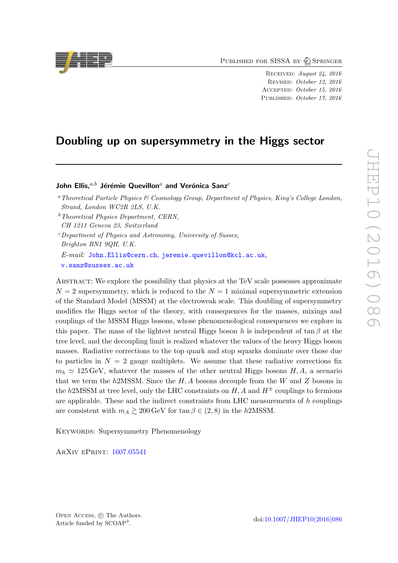PUBLISHED FOR SISSA BY 2 SPRINGER

RECEIVED: August 24, 2016 Revised : October 12, 2016 Accepted : October 15, 2016 PUBLISHED: October 17, 2016

# Doubling up on supersymmetry in the Higgs sector

John Ellis, ${}^{a,b}$  Jérémie Quevillon ${}^{a}$  and Verónica Sanz ${}^c$ 

[v.sanz@sussex.ac.uk](mailto:v.sanz@sussex.ac.uk)

<span id="page-1-0"></span>ABSTRACT: We explore the possibility that physics at the TeV scale possesses approximate  $N = 2$  supersymmetry, which is reduced to the  $N = 1$  minimal supersymmetric extension of the Standard Model (MSSM) at the electroweak scale. This doubling of supersymmetry modifies the Higgs sector of the theory, with consequences for the masses, mixings and couplings of the MSSM Higgs bosons, whose phenomenological consequences we explore in this paper. The mass of the lightest neutral Higgs boson h is independent of  $\tan \beta$  at the tree level, and the decoupling limit is realized whatever the values of the heavy Higgs boson masses. Radiative corrections to the top quark and stop squarks dominate over those due to particles in  $N = 2$  gauge multiplets. We assume that these radiative corrections fix  $m_h \simeq 125 \,\text{GeV}$ , whatever the masses of the other neutral Higgs bosons  $H, A$ , a scenario that we term the  $h2MSSM$ . Since the  $H, A$  bosons decouple from the W and Z bosons in the  $h2\text{MSSM}$  at tree level, only the LHC constraints on  $H, A$  and  $H^{\pm}$  couplings to fermions are applicable. These and the indirect constraints from LHC measurements of h couplings are consistent with  $m_A \gtrsim 200 \,\text{GeV}$  for  $\tan \beta \in (2, 8)$  in the h2MSSM.

KEYWORDS: Supersymmetry Phenomenology

ArXiv ePrint: [1607.05541](https://arxiv.org/abs/1607.05541)



<sup>a</sup>Theoretical Particle Physics & Cosmology Group, Department of Physics, King's College London, Strand, London WC2R 2LS, U.K.

 $<sup>b</sup> Theoretical Physics Department, CERN,$ </sup> CH 1211 Geneva 23, Switzerland

<sup>c</sup>Department of Physics and Astronomy, University of Sussex, Brighton BN1 9QH, U.K. E-mail: [John.Ellis@cern.ch](mailto:John.Ellis@cern.ch), [jeremie.quevillon@kcl.ac.uk](mailto:jeremie.quevillon@kcl.ac.uk),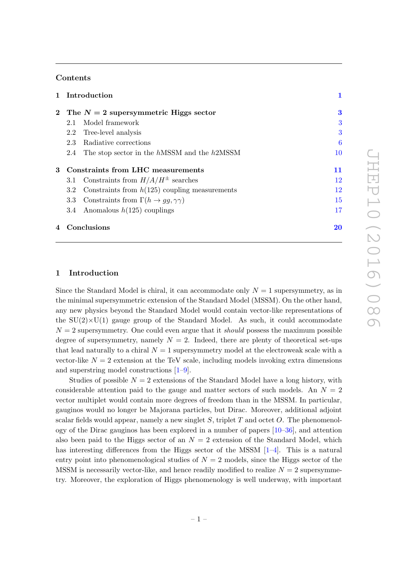# Contents

| 1 Introduction                                                      |    |
|---------------------------------------------------------------------|----|
| 2 The $N=2$ supersymmetric Higgs sector                             | 3  |
| Model framework<br>2.1                                              | 3  |
| 2.2 Tree-level analysis                                             | 3  |
| Radiative corrections<br>2.3                                        | 6  |
| The stop sector in the hMSSM and the h2MSSM<br>2.4                  | 10 |
| 3 Constraints from LHC measurements                                 | 11 |
| 3.1 Constraints from $H/A/H^{\pm}$ searches                         | 12 |
| Constraints from $h(125)$ coupling measurements<br>$3.2\phantom{0}$ | 12 |
| 3.3 Constraints from $\Gamma(h \to gg, \gamma\gamma)$               | 15 |
| 3.4 Anomalous $h(125)$ couplings                                    | 17 |
|                                                                     |    |

# 4 Conclusions [20](#page-20-0)

#### 1 Introduction

Since the Standard Model is chiral, it can accommodate only  $N = 1$  supersymmetry, as in the minimal supersymmetric extension of the Standard Model (MSSM). On the other hand, any new physics beyond the Standard Model would contain vector-like representations of the  $SU(2)\times U(1)$  gauge group of the Standard Model. As such, it could accommodate  $N = 2$  supersymmetry. One could even argue that it *should* possess the maximum possible degree of supersymmetry, namely  $N = 2$ . Indeed, there are plenty of theoretical set-ups that lead naturally to a chiral  $N=1$  supersymmetry model at the electroweak scale with a vector-like  $N = 2$  extension at the TeV scale, including models invoking extra dimensions and superstring model constructions  $[1-9]$  $[1-9]$  $[1-9]$  $[1-9]$ .

<span id="page-2-0"></span>Studies of possible  $N = 2$  extensions of the Standard Model have a long history, with considerable attention paid to the gauge and matter sectors of such models. An  $N = 2$ vector multiplet would contain more degrees of freedom than in the MSSM. In particular, gauginos would no longer be Majorana particles, but Dirac. Moreover, additional adjoint scalar fields would appear, namely a new singlet  $S$ , triplet  $T$  and octet  $O$ . The phenomenology of the Dirac gauginos has been explored in a number of papers [\[10](#page-22-2)[–36\]](#page-24-0), and attention also been paid to the Higgs sector of an  $N=2$  extension of the Standard Model, which has interesting differences from the Higgs sector of the MSSM [[1](#page-22-0)–[4\]](#page-22-3). This is a natural entry point into phenomenological studies of  $N = 2$  models, since the Higgs sector of the MSSM is necessarily vector-like, and hence readily modified to realize  $N = 2$  supersymmetry. Moreover, the exploration of Higgs phenomenology is well underway, with important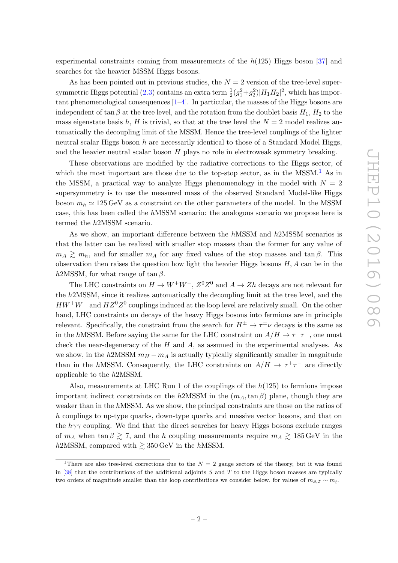experimental constraints coming from measurements of the  $h(125)$  Higgs boson [\[37\]](#page-24-1) and searches for the heavier MSSM Higgs bosons.

As has been pointed out in previous studies, the  $N=2$  version of the tree-level super-symmetric Higgs potential [\(2.3\)](#page-4-0) contains an extra term  $\frac{1}{2}(g_1^2+g_2^2)|H_1H_2|^2$ , which has important phenomenological consequences [\[1–](#page-22-0)[4\]](#page-22-3). In particular, the masses of the Higgs bosons are independent of  $\tan \beta$  at the tree level, and the rotation from the doublet basis  $H_1, H_2$  to the mass eigenstate basis  $h, H$  is trivial, so that at the tree level the  $N = 2$  model realizes automatically the decoupling limit of the MSSM. Hence the tree-level couplings of the lighter neutral scalar Higgs boson  $h$  are necessarily identical to those of a Standard Model Higgs, and the heavier neutral scalar boson H plays no role in electroweak symmetry breaking.

<span id="page-3-1"></span><span id="page-3-0"></span>These observations are modified by the radiative corrections to the Higgs sector, of which the most important are those due to the top-stop sector, as in the MSSM.<sup>[1](#page-2-0)</sup> As in the MSSM, a practical way to analyze Higgs phenomenology in the model with  $N = 2$ supersymmetry is to use the measured mass of the observed Standard Model-like Higgs boson  $m_h \simeq 125 \,\text{GeV}$  as a constraint on the other parameters of the model. In the MSSM case, this has been called the hMSSM scenario: the analogous scenario we propose here is termed the h2MSSM scenario.

<span id="page-3-3"></span>As we show, an important difference between the  $h<sub>MSSM</sub>$  and  $h<sub>2MSSM</sub>$  scenarios is that the latter can be realized with smaller stop masses than the former for any value of  $m_A \gtrsim m_h$ , and for smaller  $m_A$  for any fixed values of the stop masses and tan β. This observation then raises the question how light the heavier Higgs bosons  $H, A$  can be in the h2MSSM, for what range of tan  $\beta$ .

The LHC constraints on  $H \to W^+W^-$ ,  $Z^0Z^0$  and  $A \to Zh$  decays are not relevant for the h2MSSM, since it realizes automatically the decoupling limit at the tree level, and the  $HW^+W^-$  and  $HZ^0Z^0$  couplings induced at the loop level are relatively small. On the other hand, LHC constraints on decays of the heavy Higgs bosons into fermions are in principle relevant. Specifically, the constraint from the search for  $H^{\pm} \to \tau^{\pm} \nu$  decays is the same as in the hMSSM. Before saying the same for the LHC constraint on  $A/H \to \tau^+\tau^-$ , one must check the near-degeneracy of the  $H$  and  $A$ , as assumed in the experimental analyses. As we show, in the  $h2MSSM$   $m_H - m_A$  is actually typically significantly smaller in magnitude than in the hMSSM. Consequently, the LHC constraints on  $A/H \to \tau^+\tau^-$  are directly applicable to the h2MSSM.

Also, measurements at LHC Run 1 of the couplings of the  $h(125)$  to fermions impose important indirect constraints on the  $h2MSSM$  in the  $(m_A, \tan\beta)$  plane, though they are weaker than in the hMSSM. As we show, the principal constraints are those on the ratios of h couplings to up-type quarks, down-type quarks and massive vector bosons, and that on the  $h\gamma\gamma$  coupling. We find that the direct searches for heavy Higgs bosons exclude ranges of  $m_A$  when  $\tan \beta \gtrsim 7$ , and the h coupling measurements require  $m_A \gtrsim 185 \,\text{GeV}$  in the  $h2\text{MSSM}$ , compared with  $\gtrsim 350 \,\text{GeV}$  in the hMSSM.

<span id="page-3-2"></span><sup>&</sup>lt;sup>1</sup>There are also tree-level corrections due to the  $N = 2$  gauge sectors of the theory, but it was found in  $[38]$  that the contributions of the additional adjoints S and T to the Higgs boson masses are typically two orders of magnitude smaller than the loop contributions we consider below, for values of  $m_{S,T} \sim m_{\tilde{t}}$ .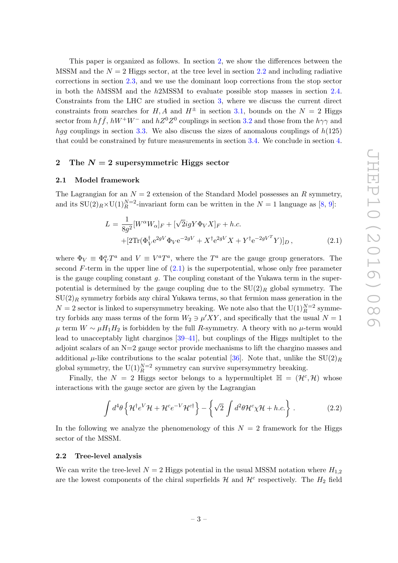<span id="page-4-0"></span>This paper is organized as follows. In section [2,](#page-3-0) we show the differences between the  $MSSM$  and the  $N = 2$  Higgs sector, at the tree level in section [2.2](#page-3-2) and including radiative corrections in section [2.3,](#page-6-0) and we use the dominant loop corrections from the stop sector in both the hMSSM and the h2MSSM to evaluate possible stop masses in section [2.4](#page-10-0) . Constraints from the LHC are studied in section [3,](#page-11-0) where we discuss the current direct constraints from searches for  $H, A$  and  $H^{\pm}$  in section [3.1,](#page-12-0) bounds on the  $N = 2$  Higgs sector from  $hf\bar{f}$ ,  $hW^+W^-$  and  $hZ^0Z^0$  couplings in section [3.2](#page-12-1) and those from the  $h\gamma\gamma$  and hgg couplings in section [3.3.](#page-15-0) We also discuss the sizes of anomalous couplings of  $h(125)$ that could be constrained by future measurements in section [3.4.](#page-17-0) We conclude in section [4](#page-20-0) .

## 2 The  $N=2$  supersymmetric Higgs sector

#### 2.1 Model framework

The Lagrangian for an  $N=2$  extension of the Standard Model possesses an R symmetry, and its  $SU(2)_R \times U(1)_R^{N=2}$ -invariant form can be written in the  $N=1$  language as [[8](#page-22-4), [9\]](#page-22-1):

<span id="page-4-2"></span>
$$
L = \frac{1}{8g^2} [W^{\alpha} W_{\alpha}]_F + [\sqrt{2}igY\Phi_V X]_F + h.c.
$$
  
 
$$
+ [2\text{Tr}(\Phi_V^{\dagger} e^{2gV} \Phi_V e^{-2gV} + X^{\dagger} e^{2gV} X + Y^{\dagger} e^{-2gV^T} Y)]_D ,
$$
 (2.1)

<span id="page-4-3"></span>where  $\Phi_V \equiv \Phi_V^a T^a$  and  $V \equiv V^a T^a$ , where the  $T^a$  are the gauge group generators. The second F-term in the upper line of [\(2.1\)](#page-3-3) is the superpotential, whose only free parameter is the gauge coupling constant g. The coupling constant of the Yukawa term in the superpotential is determined by the gauge coupling due to the  $SU(2)_R$  global symmetry. The  $\mathrm{SU}(2)_R$  symmetry forbids any chiral Yukawa terms, so that fermion mass generation in the  $N = 2$  sector is linked to supersymmetry breaking. We note also that the  $\mathrm{U}(1)_R^{N=2}$  symmetry forbids any mass terms of the form  $W_2 \ni \mu' XY$ , and specifically that the usual  $N = 1$  $\mu$  term  $W \sim \mu H_1 H_2$  is forbidden by the full R-symmetry. A theory with no  $\mu$ -term would lead to unacceptably light charginos [\[39](#page-24-3) [–41\]](#page-24-4), but couplings of the Higgs multiplet to the adjoint scalars of an  $N=2$  gauge sector provide mechanisms to lift the chargino masses and additional  $\mu$ -like contributions to the scalar potential [\[36\]](#page-24-0). Note that, unlike the  $SU(2)_R$ global symmetry, the  $U(1)<sub>R</sub><sup>N=2</sup>$  symmetry can survive supersymmetry breaking.

Finally, the  $N = 2$  Higgs sector belongs to a hypermultiplet  $\mathbb{H} = (\mathcal{H}^c, \mathcal{H})$  whose interactions with the gauge sector are given by the Lagrangian

<span id="page-4-5"></span>
$$
\int d^4\theta \left\{ \mathcal{H}^\dagger e^V \mathcal{H} + \mathcal{H}^c e^{-V} \mathcal{H}^{c\dagger} \right\} - \left\{ \sqrt{2} \int d^2\theta \mathcal{H}^c \chi \mathcal{H} + h.c. \right\} \,. \tag{2.2}
$$

<span id="page-4-1"></span>In the following we analyze the phenomenology of this  $N = 2$  framework for the Higgs sector of the MSSM.

#### 2.2 Tree-level analysis

<span id="page-4-4"></span>We can write the tree-level  $N=2$  Higgs potential in the usual MSSM notation where  $H_{1,2}$ are the lowest components of the chiral superfields  $\mathcal{H}$  and  $\mathcal{H}^c$  respectively. The  $H_2$  field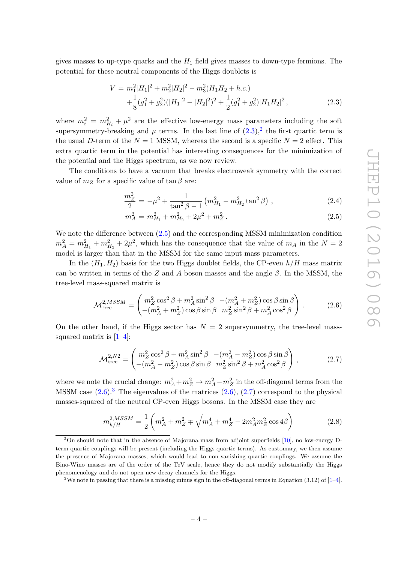gives masses to up-type quarks and the  $H_1$  field gives masses to down-type fermions. The potential for these neutral components of the Higgs doublets is

$$
V = m_1^2 |H_1|^2 + m_2^2 |H_2|^2 - m_3^2 (H_1 H_2 + h.c.)
$$
  
 
$$
+ \frac{1}{8} (g_1^2 + g_2^2) (|H_1|^2 - |H_2|^2)^2 + \frac{1}{2} (g_1^2 + g_2^2) |H_1 H_2|^2,
$$
 (2.3)

where  $m_i^2 = m_{H_i}^2 + \mu^2$  are the effective low-energy mass parameters including the soft supersymmetry-breaking and  $\mu$  terms. In the last line of  $(2.3)$  $(2.3)$  $(2.3)$ , the first quartic term is the usual D-term of the  $N = 1$  MSSM, whereas the second is a specific  $N = 2$  effect. This extra quartic term in the potential has interesting consequences for the minimization of the potential and the Higgs spectrum, as we now review.

The conditions to have a vacuum that breaks electroweak symmetry with the correct value of  $m_Z$  for a specific value of  $\tan \beta$  are:

<span id="page-5-1"></span>
$$
\frac{m_Z^2}{2} = -\mu^2 + \frac{1}{\tan^2 \beta - 1} \left( m_{H_1}^2 - m_{H_2}^2 \tan^2 \beta \right) , \qquad (2.4)
$$

$$
m_A^2 = m_{H_1}^2 + m_{H_2}^2 + 2\mu^2 + m_Z^2. \tag{2.5}
$$

We note the difference between [\(2.5\)](#page-4-2) and the corresponding MSSM minimization condition  $m_A^2 = m_{H_1}^2 + m_{H_2}^2 + 2\mu^2$ , which has the consequence that the value of  $m_A$  in the  $N = 2$ model is larger than that in the MSSM for the same input mass parameters.

In the  $(H_1, H_2)$  basis for the two Higgs doublet fields, the CP-even  $h/H$  mass matrix can be written in terms of the Z and A boson masses and the angle  $\beta$ . In the MSSM, the tree-level mass-squared matrix is

$$
\mathcal{M}_{\text{tree}}^{2,MSSM} = \begin{pmatrix} m_Z^2 \cos^2 \beta + m_A^2 \sin^2 \beta & -(m_A^2 + m_Z^2) \cos \beta \sin \beta \\ -(m_A^2 + m_Z^2) \cos \beta \sin \beta & m_Z^2 \sin^2 \beta + m_A^2 \cos^2 \beta \end{pmatrix} . \tag{2.6}
$$

On the other hand, if the Higgs sector has  $N = 2$  supersymmetry, the tree-level masssquared matrix is  $[1-4]$  $[1-4]$ :

$$
\mathcal{M}_{\text{tree}}^{2,N2} = \begin{pmatrix} m_Z^2 \cos^2 \beta + m_A^2 \sin^2 \beta & -(m_A^2 - m_Z^2) \cos \beta \sin \beta \\ -(m_A^2 - m_Z^2) \cos \beta \sin \beta & m_Z^2 \sin^2 \beta + m_A^2 \cos^2 \beta \end{pmatrix},
$$
(2.7)

where we note the crucial change:  $m_A^2 + m_Z^2 \rightarrow m_A^2 - m_Z^2$  in the off-diagonal terms from the MSSM case  $(2.6)^3$  $(2.6)^3$ . The eigenvalues of the matrices  $(2.6)$ ,  $(2.7)$  correspond to the physical masses-squared of the neutral CP-even Higgs bosons. In the MSSM case they are

$$
m_{h/H}^{2, MSSM} = \frac{1}{2} \left( m_A^2 + m_Z^2 \mp \sqrt{m_A^4 + m_Z^4 - 2m_A^2 m_Z^2 \cos 4\beta} \right)
$$
 (2.8)

<sup>2</sup>On should note that in the absence of Majorana mass from adjoint superfields [\[10\]](#page-22-2), no low-energy Dterm quartic couplings will be present (including the Higgs quartic terms). As customary, we then assume the presence of Majorana masses, which would lead to non-vanishing quartic couplings. We assume the Bino-Wino masses are of the order of the TeV scale, hence they do not modify substantially the Higgs phenomenology and do not open new decay channels for the Higgs.

<span id="page-5-0"></span><sup>&</sup>lt;sup>3</sup>We note in passing that there is a missing minus sign in the off-diagonal terms in Equation (3.[1](#page-22-0)2) of  $[1-4]$  $[1-4]$ .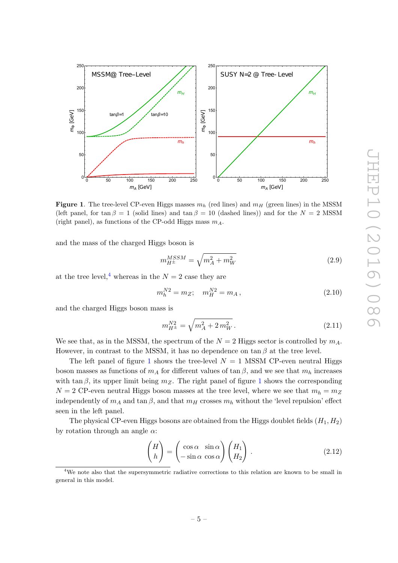

<span id="page-6-0"></span>**Figure 1**. The tree-level CP-even Higgs masses  $m_h$  (red lines) and  $m_H$  (green lines) in the MSSM (left panel, for  $\tan \beta = 1$  (solid lines) and  $\tan \beta = 10$  (dashed lines)) and for the  $N = 2$  MSSM (right panel), as functions of the CP-odd Higgs mass  $m_A$ .

and the mass of the charged Higgs boson is

$$
m_{H^{\pm}}^{MSSM} = \sqrt{m_A^2 + m_W^2}
$$
 (2.9)

at the tree level,<sup>[4](#page-5-0)</sup> whereas in the  $N=2$  case they are

$$
m_h^{N2} = m_Z; \quad m_H^{N2} = m_A, \tag{2.10}
$$

and the charged Higgs boson mass is

$$
m_{H^{\pm}}^{N2} = \sqrt{m_A^2 + 2m_W^2}.
$$
\n(2.11)

We see that, as in the MSSM, the spectrum of the  $N = 2$  Higgs sector is controlled by  $m_A$ . However, in contrast to the MSSM, it has no dependence on  $\tan \beta$  at the tree level.

<span id="page-6-1"></span>The left panel of figure [1](#page-5-1) shows the tree-level  $N = 1$  MSSM CP-even neutral Higgs boson masses as functions of  $m_A$  for different values of  $\tan \beta$ , and we see that  $m_h$  increases with  $\tan \beta$ , its upper limit being  $m_Z$ . The right panel of figure [1](#page-5-1) shows the corresponding  $N = 2$  CP-even neutral Higgs boson masses at the tree level, where we see that  $m_h = m_Z$ independently of  $m_A$  and  $\tan \beta$ , and that  $m_H$  crosses  $m_h$  without the 'level repulsion' effect seen in the left panel.

<span id="page-6-2"></span>The physical CP-even Higgs bosons are obtained from the Higgs doublet fields  $(H_1, H_2)$ by rotation through an angle  $\alpha$ :

$$
\begin{pmatrix} H \\ h \end{pmatrix} = \begin{pmatrix} \cos \alpha & \sin \alpha \\ -\sin \alpha & \cos \alpha \end{pmatrix} \begin{pmatrix} H_1 \\ H_2 \end{pmatrix} . \tag{2.12}
$$

<sup>&</sup>lt;sup>4</sup>We note also that the supersymmetric radiative corrections to this relation are known to be small in general in this model.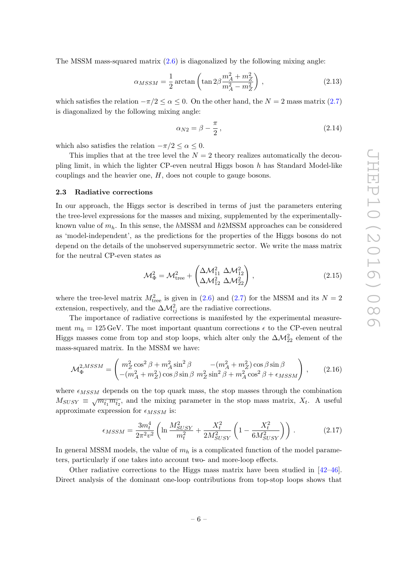The MSSM mass-squared matrix  $(2.6)$  is diagonalized by the following mixing angle:

$$
\alpha_{MSSM} = \frac{1}{2} \arctan\left(\tan 2\beta \frac{m_A^2 + m_Z^2}{m_A^2 - m_Z^2}\right),\tag{2.13}
$$

which satisfies the relation  $-\pi/2 \le \alpha \le 0$ . On the other hand, the  $N = 2$  mass matrix  $(2.7)$ is diagonalized by the following mixing angle:

$$
\alpha_{N2} = \beta - \frac{\pi}{2},\tag{2.14}
$$

which also satisfies the relation  $-\pi/2 \leq \alpha \leq 0$ .

This implies that at the tree level the  $N=2$  theory realizes automatically the decoupling limit, in which the lighter CP-even neutral Higgs boson  $h$  has Standard Model-like couplings and the heavier one, H, does not couple to gauge bosons.

#### 2.3 Radiative corrections

In our approach, the Higgs sector is described in terms of just the parameters entering the tree-level expressions for the masses and mixing, supplemented by the experimentallyknown value of  $m_h$ . In this sense, the hMSSM and h2MSSM approaches can be considered as 'model-independent', as the predictions for the properties of the Higgs bosons do not depend on the details of the unobserved supersymmetric sector. We write the mass matrix for the neutral CP-even states as

$$
\mathcal{M}_{\Phi}^2 = \mathcal{M}_{\text{tree}}^2 + \begin{pmatrix} \Delta \mathcal{M}_{11}^2 & \Delta \mathcal{M}_{12}^2 \\ \Delta \mathcal{M}_{12}^2 & \Delta \mathcal{M}_{22}^2 \end{pmatrix},
$$
\n(2.15)

<span id="page-7-1"></span>where the tree-level matrix  $M_{\text{tree}}^2$  is given in [\(2.6\)](#page-4-3) and [\(2.7\)](#page-4-5) for the MSSM and its  $N = 2$ extension, respectively, and the  $\Delta M_{ij}^2$  are the radiative corrections.

The importance of radiative corrections is manifested by the experimental measurement  $m_h = 125 \,\text{GeV}$ . The most important quantum corrections  $\epsilon$  to the CP-even neutral Higgs masses come from top and stop loops, which alter only the  $\Delta \mathcal{M}^2_{22}$  element of the mass-squared matrix. In the MSSM we have:

$$
\mathcal{M}_{\Phi}^{2, MSSM} = \begin{pmatrix} m_Z^2 \cos^2 \beta + m_A^2 \sin^2 \beta & -(m_A^2 + m_Z^2) \cos \beta \sin \beta \\ -(m_A^2 + m_Z^2) \cos \beta \sin \beta & m_Z^2 \sin^2 \beta + m_A^2 \cos^2 \beta + \epsilon_{MSSM} \end{pmatrix},
$$
 (2.16)

where  $\epsilon_{MSSM}$  depends on the top quark mass, the stop masses through the combination  $M_{SUSY} \equiv \sqrt{m_{\tilde{t}_1} m_{\tilde{t}_2}}$ , and the mixing parameter in the stop mass matrix,  $X_t$ . A useful approximate expression for  $\epsilon_{MSSM}$  is:

$$
\epsilon_{MSSM} = \frac{3m_t^4}{2\pi^2 v^2} \left( \ln \frac{M_{SUSY}^2}{m_t^2} + \frac{X_t^2}{2M_{SUSY}^2} \left( 1 - \frac{X_t^2}{6M_{SUSY}^2} \right) \right).
$$
 (2.17)

In general MSSM models, the value of  $m_h$  is a complicated function of the model parameters, particularly if one takes into account two- and more-loop effects.

<span id="page-7-0"></span>Other radiative corrections to the Higgs mass matrix have been studied in [\[42](#page-24-5) [–46\]](#page-24-6). Direct analysis of the dominant one-loop contributions from top-stop loops shows that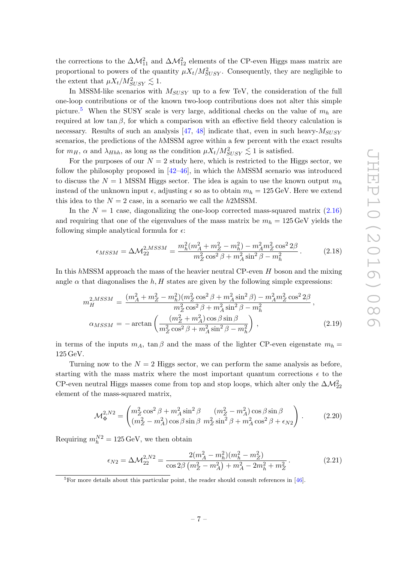the corrections to the  $\Delta M_{11}^2$  and  $\Delta M_{12}^2$  elements of the CP-even Higgs mass matrix are proportional to powers of the quantity  $\mu X_t/M_{SUSY}^2$ . Consequently, they are negligible to the extent that  $\mu X_t/M_{SUSY}^2 \lesssim 1$ .

<span id="page-8-2"></span>In MSSM-like scenarios with  $M_{SUSY}$  up to a few TeV, the consideration of the full one-loop contributions or of the known two-loop contributions does not alter this simple picture.<sup>[5](#page-7-0)</sup> When the SUSY scale is very large, additional checks on the value of  $m_h$  are required at low  $\tan \beta$ , for which a comparison with an effective field theory calculation is necessary. Results of such an analysis  $[47, 48]$  $[47, 48]$  indicate that, even in such heavy- $M_{SUSY}$ scenarios, the predictions of the hMSSM agree within a few percent with the exact results for  $m_H$ ,  $\alpha$  and  $\lambda_{Hhh}$ , as long as the condition  $\mu X_t/M_{SUSY}^2 \lesssim 1$  is satisfied.

<span id="page-8-1"></span>For the purposes of our  $N=2$  study here, which is restricted to the Higgs sector, we follow the philosophy proposed in  $[42-46]$ , in which the hMSSM scenario was introduced to discuss the  $N = 1$  MSSM Higgs sector. The idea is again to use the known output  $m_h$ instead of the unknown input  $\epsilon$ , adjusting  $\epsilon$  so as to obtain  $m_h = 125 \,\text{GeV}$ . Here we extend this idea to the  $N = 2$  case, in a scenario we call the h2MSSM.

In the  $N = 1$  case, diagonalizing the one-loop corrected mass-squared matrix  $(2.16)$ and requiring that one of the eigenvalues of the mass matrix be  $m_h = 125 \,\text{GeV}$  yields the following simple analytical formula for  $\epsilon$ :

<span id="page-8-0"></span>
$$
\epsilon_{MSSM} = \Delta \mathcal{M}_{22}^{2, MSSM} = \frac{m_h^2 (m_A^2 + m_Z^2 - m_h^2) - m_A^2 m_Z^2 \cos^2 2\beta}{m_Z^2 \cos^2 \beta + m_A^2 \sin^2 \beta - m_h^2}.
$$
 (2.18)

In this  $h$ MSSM approach the mass of the heavier neutral CP-even  $H$  boson and the mixing angle  $\alpha$  that diagonalises the  $h, H$  states are given by the following simple expressions:

$$
m_H^{2,MSSM} = \frac{(m_A^2 + m_Z^2 - m_h^2)(m_Z^2 \cos^2 \beta + m_A^2 \sin^2 \beta) - m_A^2 m_Z^2 \cos^2 2\beta}{m_Z^2 \cos^2 \beta + m_A^2 \sin^2 \beta - m_h^2},
$$
  
\n
$$
\alpha_{MSSM} = -\arctan\left(\frac{(m_Z^2 + m_A^2)\cos \beta \sin \beta}{m_Z^2 \cos^2 \beta + m_A^2 \sin^2 \beta - m_h^2}\right),
$$
\n(2.19)

in terms of the inputs  $m_A$ ,  $\tan \beta$  and the mass of the lighter CP-even eigenstate  $m_h =$ 125 GeV.

Turning now to the  $N = 2$  Higgs sector, we can perform the same analysis as before, starting with the mass matrix where the most important quantum corrections  $\epsilon$  to the CP-even neutral Higgs masses come from top and stop loops, which alter only the  $\Delta\mathcal{M}^2_{22}$ element of the mass-squared matrix,

$$
\mathcal{M}_{\Phi}^{2,N2} = \begin{pmatrix} m_Z^2 \cos^2 \beta + m_A^2 \sin^2 \beta & (m_Z^2 - m_A^2) \cos \beta \sin \beta \\ (m_Z^2 - m_A^2) \cos \beta \sin \beta & m_Z^2 \sin^2 \beta + m_A^2 \cos^2 \beta + \epsilon_{N2} \end{pmatrix} .
$$
 (2.20)

Requiring  $m_h^{N2} = 125 \,\text{GeV}$ , we then obtain

$$
\epsilon_{N2} = \Delta \mathcal{M}_{22}^{2,N2} = \frac{2(m_A^2 - m_h^2)(m_h^2 - m_Z^2)}{\cos 2\beta (m_Z^2 - m_A^2) + m_A^2 - 2m_h^2 + m_Z^2}.
$$
 (2.21)

 ${}^{5}$ For more details about this particular point, the reader should consult references in [\[46\]](#page-24-6).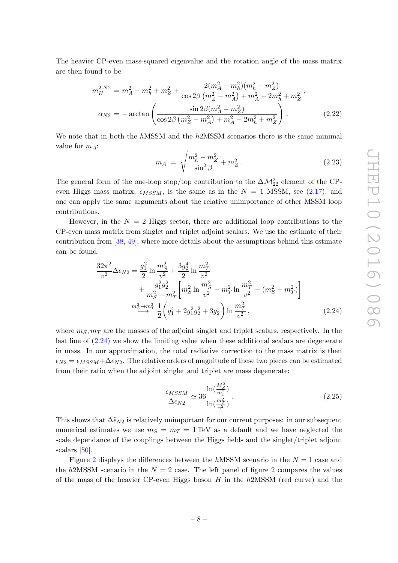The heavier CP-even mass-squared eigenvalue and the rotation angle of the mass matrix are then found to be

$$
m_H^{2,N2} = m_A^2 - m_h^2 + m_Z^2 + \frac{2(m_A^2 - m_h^2)(m_h^2 - m_Z^2)}{\cos 2\beta (m_Z^2 - m_A^2) + m_A^2 - 2m_h^2 + m_Z^2},
$$
  
\n
$$
\alpha_{N2} = -\arctan\left(\frac{\sin 2\beta (m_A^2 - m_Z^2)}{\cos 2\beta (m_Z^2 - m_A^2) + m_A^2 - 2m_h^2 + m_Z^2}\right).
$$
\n(2.22)

We note that in both the hMSSM and the h2MSSM scenarios there is the same minimal value for  $m_A$ :

$$
m_A = \sqrt{\frac{m_h^2 - m_Z^2}{\sin^2 \beta} + m_Z^2}.
$$
 (2.23)

<span id="page-9-0"></span>The general form of the one-loop stop/top contribution to the  $\Delta \mathcal{M}^2_{22}$  element of the CPeven Higgs mass matrix,  $\epsilon_{MSSM}$ , is the same as in the  $N = 1$  MSSM, see [\(2.17\)](#page-6-2), and one can apply the same arguments about the relative unimportance of other MSSM loop contributions.

However, in the  $N = 2$  Higgs sector, there are additional loop contributions to the CP-even mass matrix from singlet and triplet adjoint scalars. We use the estimate of their contribution from [\[38](#page-24-2) , [49\]](#page-24-9), where more details about the assumptions behind this estimate can be found:

$$
\frac{32\pi^2}{v^2} \Delta \epsilon_{N2} = \frac{g_1^2}{2} \ln \frac{m_S^2}{v^2} + \frac{3g_2^4}{2} \ln \frac{m_T^2}{v^2} \n+ \frac{g_1^2 g_2^2}{m_S^2 - m_T^2} \left[ m_S^2 \ln \frac{m_S^2}{v^2} - m_T^2 \ln \frac{m_T^2}{v^2} - (m_S^2 - m_T^2) \right] \n\frac{m_S^2 \rightarrow m_T^2}{2} \frac{1}{2} \left( g_1^4 + 2g_1^2 g_2^2 + 3g_2^4 \right) \ln \frac{m_T^2}{v^2},
$$
\n(2.24)

where  $m_S, m_T$  are the masses of the adjoint singlet and triplet scalars, respectively. In the last line of [\(2.24\)](#page-8-0) we show the limiting value when these additional scalars are degenerate in mass. In our approximation, the total radiative correction to the mass matrix is then  $\epsilon_{N2} = \epsilon_{MSSM} + \Delta \epsilon_{N2}$ . The relative orders of magnitude of these two pieces can be estimated from their ratio when the adjoint singlet and triplet are mass degenerate:

$$
\frac{\epsilon_{MSSM}}{\Delta \epsilon_{N2}} \simeq 36 \frac{\ln(\frac{M_S^2}{m_t^2})}{\ln(\frac{m_T^2}{v^2})}.
$$
\n(2.25)

This shows that  $\Delta \tilde{\epsilon}_{N2}$  is relatively unimportant for our current purposes: in our subsequent numerical estimates we use  $m_S = m_T = 1 \text{ TeV}$  as a default and we have neglected the scale dependance of the couplings between the Higgs fields and the singlet/triplet adjoint scalars [\[50\]](#page-24-10).

Figure [2](#page-9-0) displays the differences between the  $h$ MSSM scenario in the  $N = 1$  case and the  $h2MSSM$  $h2MSSM$  $h2MSSM$  scenario in the  $N=2$  case. The left panel of figure 2 compares the values of the mass of the heavier CP-even Higgs boson  $H$  in the  $h2MSSM$  (red curve) and the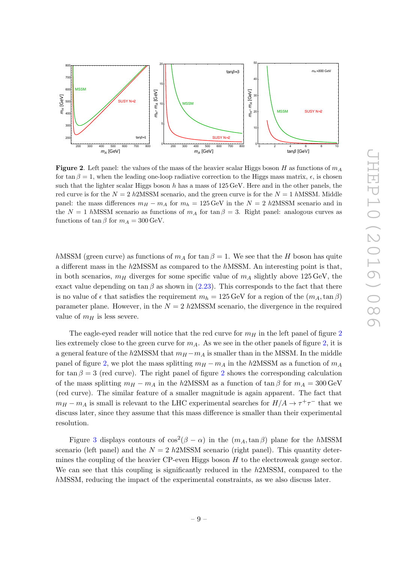

<span id="page-10-1"></span>**Figure 2**. Left panel: the values of the mass of the heavier scalar Higgs boson H as functions of  $m_A$ for  $\tan \beta = 1$ , when the leading one-loop radiative correction to the Higgs mass matrix,  $\epsilon$ , is chosen such that the lighter scalar Higgs boson h has a mass of 125 GeV. Here and in the other panels, the red curve is for the  $N = 2$  h2MSSM scenario, and the green curve is for the  $N = 1$  hMSSM. Middle panel: the mass differences  $m_H - m_A$  for  $m_h = 125 \,\text{GeV}$  in the  $N = 2$  h2MSSM scenario and in the  $N = 1$  hMSSM scenario as functions of  $m_A$  for  $\tan \beta = 3$ . Right panel: analogous curves as functions of  $\tan \beta$  for  $m_A = 300 \,\text{GeV}$ .

<span id="page-10-0"></span> $h$ MSSM (green curve) as functions of  $m_A$  for  $\tan \beta = 1$ . We see that the H boson has quite a different mass in the h2MSSM as compared to the hMSSM. An interesting point is that, in both scenarios,  $m_H$  diverges for some specific value of  $m_A$  slightly above 125 GeV, the exact value depending on  $\tan \beta$  as shown in [\(2.23\)](#page-8-1). This corresponds to the fact that there is no value of  $\epsilon$  that satisfies the requirement  $m_h = 125 \,\text{GeV}$  for a region of the  $(m_A, \tan \beta)$ parameter plane. However, in the  $N = 2$  h2MSSM scenario, the divergence in the required value of  $m_H$  is less severe.

The eagle-eyed reader will notice that the red curve for  $m_H$  in the left panel of figure [2](#page-9-0) lies extremely close to the green curve for  $m_A$ . As we see in the other panels of figure [2,](#page-9-0) it is a general feature of the  $h2MSSM$  that  $m_H - m_A$  is smaller than in the MSSM. In the middle panel of figure [2,](#page-9-0) we plot the mass splitting  $m_H - m_A$  in the  $h2MSSM$  as a function of  $m_A$ for  $\tan \beta = 3$  (red curve). The right panel of figure [2](#page-9-0) shows the corresponding calculation of the mass splitting  $m_H - m_A$  in the h2MSSM as a function of  $\tan \beta$  for  $m_A = 300 \,\text{GeV}$ (red curve). The similar feature of a smaller magnitude is again apparent. The fact that  $m_H - m_A$  is small is relevant to the LHC experimental searches for  $H/A \to \tau^+ \tau^-$  that we discuss later, since they assume that this mass difference is smaller than their experimental resolution.

Figure [3](#page-10-1) displays contours of  $\cos^2(\beta - \alpha)$  in the  $(m_A, \tan \beta)$  plane for the hMSSM scenario (left panel) and the  $N = 2$  h2MSSM scenario (right panel). This quantity determines the coupling of the heavier  $CP$ -even Higgs boson  $H$  to the electroweak gauge sector. We can see that this coupling is significantly reduced in the  $h2MSSM$ , compared to the hMSSM, reducing the impact of the experimental constraints, as we also discuss later.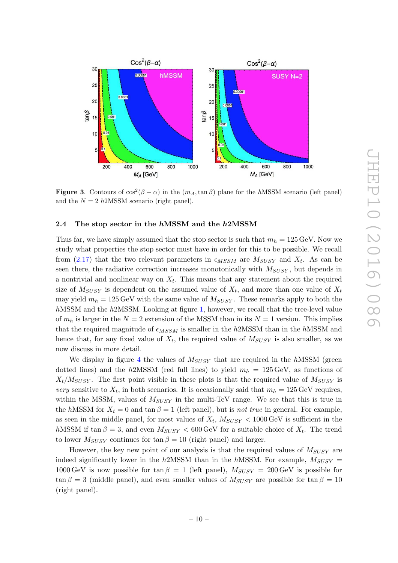

<span id="page-11-1"></span>**Figure 3.** Contours of  $\cos^2(\beta - \alpha)$  in the  $(m_A, \tan \beta)$  plane for the hMSSM scenario (left panel) and the  $N = 2$  h2MSSM scenario (right panel).

#### 2.4 The stop sector in the  $h$ MSSM and the  $h$ 2MSSM

Thus far, we have simply assumed that the stop sector is such that  $m_h = 125 \,\text{GeV}$ . Now we study what properties the stop sector must have in order for this to be possible. We recall from  $(2.17)$  that the two relevant parameters in  $\epsilon_{MSSM}$  are  $M_{SUSY}$  and  $X_t$ . As can be seen there, the radiative correction increases monotonically with  $M_{SUSY}$ , but depends in a nontrivial and nonlinear way on  $X_t$ . This means that any statement about the required size of  $M_{SUSY}$  is dependent on the assumed value of  $X_t$ , and more than one value of  $X_t$ may yield  $m_h = 125 \,\text{GeV}$  with the same value of  $M_{SUSY}$ . These remarks apply to both the hMSSM and the h2MSSM. Looking at figure [1,](#page-5-1) however, we recall that the tree-level value of  $m_h$  is larger in the  $N = 2$  extension of the MSSM than in its  $N = 1$  version. This implies that the required magnitude of  $\epsilon_{MSSM}$  is smaller in the h2MSSM than in the hMSSM and hence that, for any fixed value of  $X_t$ , the required value of  $M_{SUSY}$  is also smaller, as we now discuss in more detail.

We display in figure [4](#page-11-1) the values of  $M_{SUSY}$  that are required in the hMSSM (green dotted lines) and the  $h2MSSM$  (red full lines) to yield  $m_h = 125 \,\text{GeV}$ , as functions of  $X_t/M_{SUSY}$ . The first point visible in these plots is that the required value of  $M_{SUSY}$  is very sensitive to  $X_t$ , in both scenarios. It is occasionally said that  $m_h = 125 \,\text{GeV}$  requires, within the MSSM, values of  $M_{SUSY}$  in the multi-TeV range. We see that this is true in the hMSSM for  $X_t = 0$  and  $\tan \beta = 1$  (left panel), but is *not true* in general. For example, as seen in the middle panel, for most values of  $X_t$ ,  $M_{SUSY}$  < 1000 GeV is sufficient in the  $h$ MSSM if  $\tan \beta = 3$ , and even  $M_{SUSY} < 600 \,\text{GeV}$  for a suitable choice of  $X_t$ . The trend to lower  $M_{SUSY}$  continues for  $\tan \beta = 10$  (right panel) and larger.

<span id="page-11-0"></span>However, the key new point of our analysis is that the required values of  $M_{SUSY}$  are indeed significantly lower in the  $h2MSSM$  than in the  $hMSSM$ . For example,  $M_{SUSY}$  = 1000 GeV is now possible for  $\tan \beta = 1$  (left panel),  $M_{SUSY} = 200$  GeV is possible for  $\tan \beta = 3$  (middle panel), and even smaller values of  $M_{SUSY}$  are possible for  $\tan \beta = 10$ (right panel).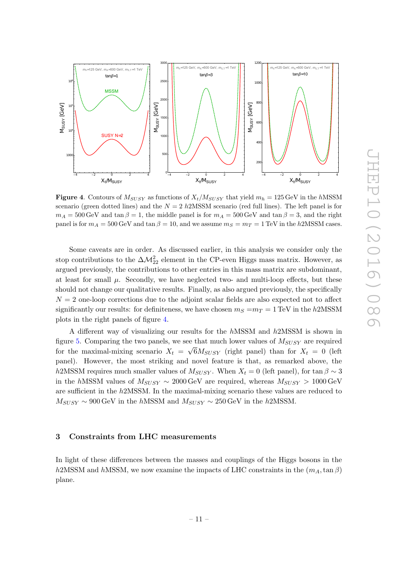

<span id="page-12-2"></span>**Figure 4.** Contours of  $M_{SUSY}$  as functions of  $X_t/M_{SUSY}$  that yield  $m_h = 125 \,\text{GeV}$  in the hMSSM scenario (green dotted lines) and the  $N = 2$  h2MSSM scenario (red full lines). The left panel is for  $m_A = 500 \,\text{GeV}$  and  $\tan \beta = 1$ , the middle panel is for  $m_A = 500 \,\text{GeV}$  and  $\tan \beta = 3$ , and the right panel is for  $m_A = 500 \text{ GeV}$  and  $\tan \beta = 10$ , and we assume  $m_S = m_T = 1 \text{ TeV}$  in the h2MSSM cases.

<span id="page-12-0"></span>Some caveats are in order. As discussed earlier, in this analysis we consider only the stop contributions to the  $\Delta M^2_{22}$  element in the CP-even Higgs mass matrix. However, as argued previously, the contributions to other entries in this mass matrix are subdominant, at least for small  $\mu$ . Secondly, we have neglected two- and multi-loop effects, but these should not change our qualitative results. Finally, as also argued previously, the specifically  $N = 2$  one-loop corrections due to the adjoint scalar fields are also expected not to affect significantly our results: for definiteness, we have chosen  $m_S = m_T = 1 \text{ TeV}$  in the  $h2\text{MSSM}$ plots in the right panels of figure [4](#page-11-1) .

A different way of visualizing our results for the hMSSM and h2MSSM is shown in figure [5.](#page-12-2) Comparing the two panels, we see that much lower values of  $M_{SUSY}$  are required for the maximal-mixing scenario  $X_t = \sqrt{6}M_{SUSY}$  (right panel) than for  $X_t = 0$  (left panel). However, the most striking and novel feature is that, as remarked above, the h2MSSM requires much smaller values of  $M_{SUSY}$ . When  $X_t = 0$  (left panel), for  $\tan \beta \sim 3$ in the  $h$ MSSM values of  $M_{SUSY} \sim 2000 \,\text{GeV}$  are required, whereas  $M_{SUSY} > 1000 \,\text{GeV}$ are sufficient in the h2MSSM. In the maximal-mixing scenario these values are reduced to  $M_{SUSY} \sim 900 \,\text{GeV}$  in the hMSSM and  $M_{SUSY} \sim 250 \,\text{GeV}$  in the h2MSSM.

#### <span id="page-12-3"></span><span id="page-12-1"></span>3 Constraints from LHC measurements

In light of these differences between the masses and couplings of the Higgs bosons in the h2MSSM and hMSSM, we now examine the impacts of LHC constraints in the  $(m_A, \tan \beta)$ plane.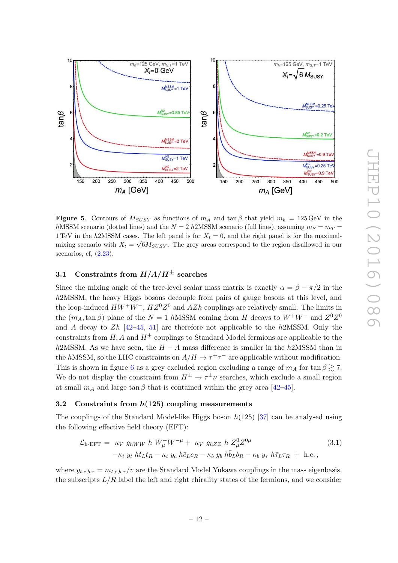

**Figure 5.** Contours of  $M_{SUSY}$  as functions of  $m_A$  and  $\tan \beta$  that yield  $m_h = 125 \,\text{GeV}$  in the hMSSM scenario (dotted lines) and the  $N = 2$  h2MSSM scenario (full lines), assuming  $m_S = m_T$ 1 TeV in the h2MSSM cases. The left panel is for  $X_t = 0$ , and the right panel is for the maximalmixing scenario with  $X_t = \sqrt{6}M_{SUSY}$ . The grey areas correspond to the region disallowed in our scenarios, cf,  $(2.23)$ .

# <span id="page-13-0"></span>3.1 Constraints from  $H/A/H^\pm$  searches

Since the mixing angle of the tree-level scalar mass matrix is exactly  $\alpha = \beta - \pi/2$  in the h<sub>2</sub>MSSM, the heavy Higgs bosons decouple from pairs of gauge bosons at this level, and the loop-induced  $HW^+W^-$ ,  $HZ^0Z^0$  and  $AZh$  couplings are relatively small. The limits in the  $(m_A, \tan \beta)$  plane of the  $N = 1$  hMSSM coming from H decays to  $W^+W^-$  and  $Z^0Z^0$ and A decay to  $Zh$  [\[42](#page-24-5)[–45](#page-24-11), [51\]](#page-24-12) are therefore not applicable to the h2MSSM. Only the constraints from  $H, A$  and  $H^{\pm}$  couplings to Standard Model fermions are applicable to the h2MSSM. As we have seen, the  $H - A$  mass difference is smaller in the h2MSSM than in the hMSSM, so the LHC constraints on  $A/H \to \tau^+\tau^-$  are applicable without modification. This is shown in figure [6](#page-13-0) as a grey excluded region excluding a range of  $m_A$  for  $\tan \beta \gtrsim 7$ . We do not display the constraint from  $H^{\pm} \to \tau^{\pm} \nu$  searches, which exclude a small region at small  $m_A$  and large  $\tan \beta$  that is contained within the grey area [\[42](#page-24-5)[–45\]](#page-24-11).

#### $3.2$  Constraints from  $h(125)$  coupling measurements

The couplings of the Standard Model-like Higgs boson  $h(125)$  [\[37\]](#page-24-1) can be analysed using the following effective field theory (EFT):

<span id="page-13-1"></span>
$$
\mathcal{L}_{\text{h-EFT}} = \kappa_V g_{hWW} h W^+_\mu W^{-\mu} + \kappa_V g_{hZZ} h Z^0_\mu Z^{0\mu}
$$
\n
$$
-\kappa_t y_t h \bar{t}_L t_R - \kappa_t y_c h \bar{c}_L c_R - \kappa_b y_b h \bar{b}_L b_R - \kappa_b y_\tau h \bar{\tau}_L \tau_R + \text{h.c.},
$$
\n(3.1)

where  $y_{t,c,b,\tau} = m_{t,c,b,\tau}/v$  are the Standard Model Yukawa couplings in the mass eigenbasis, the subscripts  $L/R$  label the left and right chirality states of the fermions, and we consider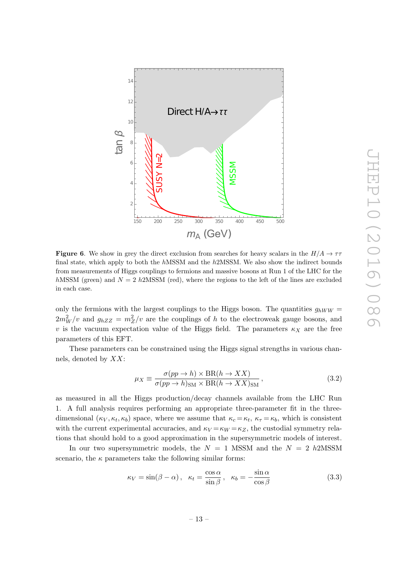

**Figure 6.** We show in grey the direct exclusion from searches for heavy scalars in the  $H/A \rightarrow \tau\tau$ final state, which apply to both the hMSSM and the h2MSSM. We also show the indirect bounds from measurements of Higgs couplings to fermions and massive bosons at Run 1 of the LHC for the hMSSM (green) and  $N = 2$  h2MSSM (red), where the regions to the left of the lines are excluded in each case.

only the fermions with the largest couplings to the Higgs boson. The quantities  $g_{hWW}$  =  $2m_W^2/v$  and  $g_{hZZ} = m_Z^2/v$  are the couplings of h to the electroweak gauge bosons, and v is the vacuum expectation value of the Higgs field. The parameters  $\kappa_X$  are the free parameters of this EFT.

These parameters can be constrained using the Higgs signal strengths in various channels, denoted by XX:

$$
\mu_X \equiv \frac{\sigma(pp \to h) \times \text{BR}(h \to XX)}{\sigma(pp \to h)_{\text{SM}} \times \text{BR}(h \to XX)_{\text{SM}}},\tag{3.2}
$$

as measured in all the Higgs production/decay channels available from the LHC Run 1. A full analysis requires performing an appropriate three-parameter fit in the threedimensional  $(\kappa_V, \kappa_t, \kappa_b)$  space, where we assume that  $\kappa_c = \kappa_t$ ,  $\kappa_{\tau} = \kappa_b$ , which is consistent with the current experimental accuracies, and  $\kappa_V = \kappa_W = \kappa_Z$ , the custodial symmetry relations that should hold to a good approximation in the supersymmetric models of interest.

In our two supersymmetric models, the  $N = 1$  MSSM and the  $N = 2$  h2MSSM scenario, the  $\kappa$  parameters take the following similar forms:

$$
\kappa_V = \sin(\beta - \alpha), \quad \kappa_t = \frac{\cos \alpha}{\sin \beta}, \quad \kappa_b = -\frac{\sin \alpha}{\cos \beta}
$$
(3.3)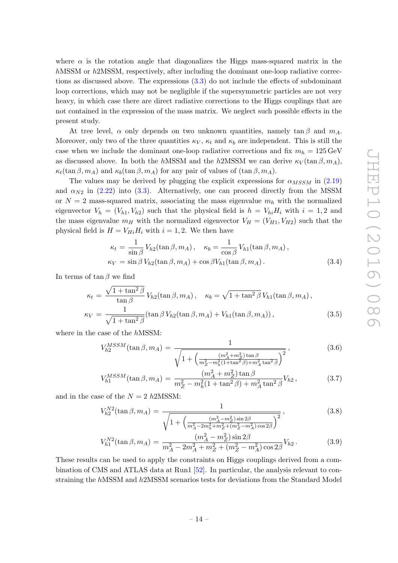where  $\alpha$  is the rotation angle that diagonalizes the Higgs mass-squared matrix in the hMSSM or h2MSSM, respectively, after including the dominant one-loop radiative corrections as discussed above. The expressions [\(3.3\)](#page-13-1) do not include the effects of subdominant loop corrections, which may not be negligible if the supersymmetric particles are not very heavy, in which case there are direct radiative corrections to the Higgs couplings that are not contained in the expression of the mass matrix. We neglect such possible effects in the present study.

At tree level,  $\alpha$  only depends on two unknown quantities, namely  $\tan \beta$  and  $m_A$ . Moreover, only two of the three quantities  $\kappa_V$ ,  $\kappa_t$  and  $\kappa_b$  are independent. This is still the case when we include the dominant one-loop radiative corrections and fix  $m_h = 125 \,\text{GeV}$ as discussed above. In both the hMSSM and the h2MSSM we can derive  $\kappa_V(\tan \beta, m_A)$ ,  $\kappa_t(\tan \beta, m_A)$  and  $\kappa_b(\tan \beta, m_A)$  for any pair of values of  $(\tan \beta, m_A)$ .

<span id="page-15-0"></span>The values may be derived by plugging the explicit expressions for  $\alpha_{MSSM}$  in [\(2.19](#page-7-1)) and  $\alpha_{N2}$  in [\(2.22\)](#page-8-2) into [\(3.3\)](#page-13-1). Alternatively, one can proceed directly from the MSSM or  $N=2$  mass-squared matrix, associating the mass eigenvalue  $m_h$  with the normalized eigenvector  $V_h = (V_{h1}, V_{h2})$  such that the physical field is  $h = V_{hi} H_i$  with  $i = 1, 2$  and the mass eigenvalue  $m_H$  with the normalized eigenvector  $V_H = (V_{H1}, V_{H2})$  such that the physical field is  $H = V_{Hi} H_i$  with  $i = 1, 2$ . We then have

$$
\kappa_t = \frac{1}{\sin \beta} V_{h2}(\tan \beta, m_A), \quad \kappa_b = \frac{1}{\cos \beta} V_{h1}(\tan \beta, m_A),
$$
  

$$
\kappa_V = \sin \beta V_{h2}(\tan \beta, m_A) + \cos \beta V_{h1}(\tan \beta, m_A).
$$
 (3.4)

In terms of  $\tan \beta$  we find

$$
\kappa_t = \frac{\sqrt{1 + \tan^2 \beta}}{\tan \beta} V_{h2}(\tan \beta, m_A), \quad \kappa_b = \sqrt{1 + \tan^2 \beta} V_{h1}(\tan \beta, m_A),
$$
  

$$
\kappa_V = \frac{1}{\sqrt{1 + \tan^2 \beta}} (\tan \beta V_{h2}(\tan \beta, m_A) + V_{h1}(\tan \beta, m_A)), \tag{3.5}
$$

where in the case of the hMSSM:

$$
V_{h2}^{MSSM}(\tan \beta, m_A) = \frac{1}{\sqrt{1 + \left(\frac{(m_A^2 + m_Z^2)\tan\beta}{m_Z^2 - m_h^2(1 + \tan^2\beta) + m_A^2 \tan^2\beta}\right)^2}}},
$$
(3.6)

$$
V_{h1}^{MSSM}(\tan\beta, m_A) = \frac{(m_A^2 + m_Z^2)\tan\beta}{m_Z^2 - m_h^2(1 + \tan^2\beta) + m_A^2 \tan^2\beta} V_{h2},
$$
(3.7)

and in the case of the  $N = 2$  h2MSSM:

$$
V_{h2}^{N2}(\tan \beta, m_A) = \frac{1}{\sqrt{1 + \left(\frac{(m_A^2 - m_Z^2)\sin 2\beta}{m_A^2 - 2m_h^2 + m_Z^2 + (m_Z^2 - m_A^2)\cos 2\beta}\right)^2}}\,,\tag{3.8}
$$

$$
V_{h1}^{N2}(\tan\beta, m_A) = \frac{(m_A^2 - m_Z^2)\sin 2\beta}{m_A^2 - 2m_A^2 + m_Z^2 + (m_Z^2 - m_A^2)\cos 2\beta} V_{h2}.
$$
 (3.9)

These results can be used to apply the constraints on Higgs couplings derived from a combination of CMS and ATLAS data at Run1 [\[52\]](#page-24-13). In particular, the analysis relevant to constraining the hMSSM and h2MSSM scenarios tests for deviations from the Standard Model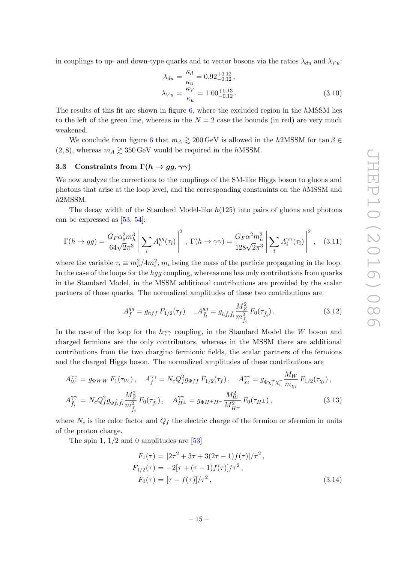in couplings to up- and down-type quarks and to vector bosons via the ratios  $\lambda_{du}$  and  $\lambda_{Vu}$ :

$$
\lambda_{du} = \frac{\kappa_d}{\kappa_u} = 0.92^{+0.12}_{-0.12},
$$
\n
$$
\lambda_{Vu} = \frac{\kappa_V}{\kappa_u} = 1.00^{+0.13}_{-0.12}.
$$
\n(3.10)

The results of this fit are shown in figure [6,](#page-13-0) where the excluded region in the hMSSM lies to the left of the green line, whereas in the  $N = 2$  case the bounds (in red) are very much weakened.

We conclude from figure [6](#page-13-0) that  $m_A \gtrsim 200 \,\text{GeV}$  is allowed in the h2MSSM for  $\tan \beta \in$  $(2, 8)$ , whereas  $m_A \gtrsim 350 \,\text{GeV}$  would be required in the hMSSM.

# 3.3 Constraints from  $\Gamma(h \to gg, \gamma\gamma)$

We now analyze the corrections to the couplings of the SM-like Higgs boson to gluons and photons that arise at the loop level, and the corresponding constraints on the hMSSM and h2MSSM.

The decay width of the Standard Model-like  $h(125)$  into pairs of gluons and photons can be expressed as [\[53](#page-24-14) , [54\]](#page-25-0):

$$
\Gamma(h \to gg) = \frac{G_F \alpha_s^2 m_h^3}{64\sqrt{2}\pi^3} \left| \sum_i A_i^{gg}(\tau_i) \right|^2, \ \Gamma(h \to \gamma\gamma) = \frac{G_F \alpha^2 m_h^3}{128\sqrt{2}\pi^3} \left| \sum_i A_i^{\gamma\gamma}(\tau_i) \right|^2, \tag{3.11}
$$

where the variable  $\tau_i \equiv m_h^2/4m_i^2$ ,  $m_i$  being the mass of the particle propagating in the loop. In the case of the loops for the *hgg* coupling, whereas one has only contributions from quarks in the Standard Model, in the MSSM additional contributions are provided by the scalar partners of those quarks. The normalized amplitudes of these two contributions are

$$
A_f^{gg} = g_{hff} F_{1/2}(\tau_f) \quad , A_{\tilde{f}_i}^{gg} = g_{h\tilde{f}_i\tilde{f}_i} \frac{M_Z^2}{m_{\tilde{f}_i}^2} F_0(\tau_{\tilde{f}_i}). \tag{3.12}
$$

In the case of the loop for the  $h\gamma\gamma$  coupling, in the Standard Model the W boson and charged fermions are the only contributors, whereas in the MSSM there are additional contributions from the two chargino fermionic fields, the scalar partners of the fermions and the charged Higgs boson. The normalized amplitudes of these contributions are

$$
A_{W}^{\gamma\gamma} = g_{\Phi WW} F_1(\tau_W), \quad A_{f}^{\gamma\gamma} = N_c Q_f^2 g_{\Phi ff} F_{1/2}(\tau_f), \quad A_{\chi_i}^{\gamma\gamma} = g_{\Phi \chi_i^+ \chi_i^-} \frac{M_W}{m_{\chi_i}} F_{1/2}(\tau_{\chi_i}),
$$
  

$$
A_{\tilde{f}_i}^{\gamma\gamma} = N_c Q_f^2 g_{\Phi \tilde{f}_i \tilde{f}_i} \frac{M_Z^2}{m_{\tilde{f}_i}^2} F_0(\tau_{\tilde{f}_i}), \quad A_{H^{\pm}}^{\gamma\gamma} = g_{\Phi H^+ H^-} \frac{M_W^2}{M_{H^{\pm}}^2} F_0(\tau_{H^{\pm}}), \tag{3.13}
$$

where  $N_c$  is the color factor and  $Q_f$  the electric charge of the fermion or sfermion in units of the proton charge.

The spin  $1, 1/2$  and 0 amplitudes are  $[53]$ 

$$
F_1(\tau) = [2\tau^2 + 3\tau + 3(2\tau - 1)f(\tau)]/\tau^2,
$$
  
\n
$$
F_{1/2}(\tau) = -2[\tau + (\tau - 1)f(\tau)]/\tau^2,
$$
  
\n
$$
F_0(\tau) = [\tau - f(\tau)]/\tau^2,
$$
\n(3.14)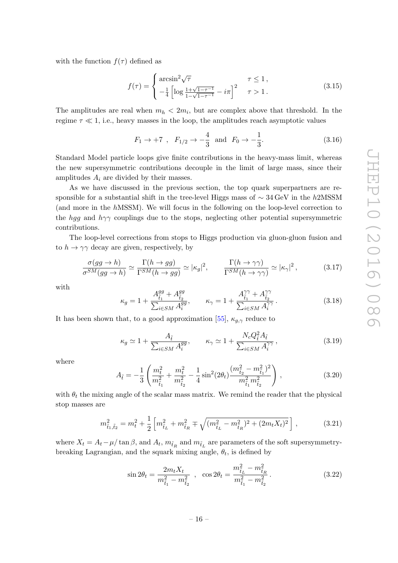with the function  $f(\tau)$  defined as

$$
f(\tau) = \begin{cases} \arcsin^2 \sqrt{\tau} & \tau \le 1, \\ -\frac{1}{4} \left[ \log \frac{1 + \sqrt{1 - \tau^{-1}}}{1 - \sqrt{1 - \tau^{-1}}} - i\pi \right]^2 & \tau > 1. \end{cases}
$$
(3.15)

The amplitudes are real when  $m_h < 2m_i$ , but are complex above that threshold. In the regime  $\tau \ll 1$ , i.e., heavy masses in the loop, the amplitudes reach asymptotic values

$$
F_1 \to +7
$$
,  $F_{1/2} \to -\frac{4}{3}$  and  $F_0 \to -\frac{1}{3}$ . (3.16)

Standard Model particle loops give finite contributions in the heavy-mass limit, whereas the new supersymmetric contributions decouple in the limit of large mass, since their amplitudes  $A_i$  are divided by their masses.

As we have discussed in the previous section, the top quark superpartners are responsible for a substantial shift in the tree-level Higgs mass of  $\sim$  34 GeV in the h2MSSM (and more in the hMSSM). We will focus in the following on the loop-level correction to the hgg and  $h\gamma\gamma$  couplings due to the stops, neglecting other potential supersymmetric contributions.

The loop-level corrections from stops to Higgs production via gluon-gluon fusion and to  $h \to \gamma \gamma$  decay are given, respectively, by

$$
\frac{\sigma(gg \to h)}{\sigma^{SM}(gg \to h)} \simeq \frac{\Gamma(h \to gg)}{\Gamma^{SM}(h \to gg)} \simeq |\kappa_g|^2, \qquad \frac{\Gamma(h \to \gamma\gamma)}{\Gamma^{SM}(h \to \gamma\gamma)} \simeq |\kappa_\gamma|^2, \tag{3.17}
$$

with

$$
\kappa_g = 1 + \frac{A_{\tilde{t}_1}^{gg} + A_{\tilde{t}_2}^{gg}}{\sum_{i \in SM} A_i^{gg}}, \qquad \kappa_\gamma = 1 + \frac{A_{\tilde{t}_1}^{\gamma \gamma} + A_{\tilde{t}_2}^{\gamma \gamma}}{\sum_{i \in SM} A_i^{\gamma \gamma}}.
$$
 (3.18)

It has been shown that, to a good approximation [\[55\]](#page-25-1),  $\kappa_{g,\gamma}$  reduce to

$$
\kappa_g \simeq 1 + \frac{A_{\tilde{t}}}{\sum_{i \in SM} A_i^{gg}}, \qquad \kappa_\gamma \simeq 1 + \frac{N_c Q_{\tilde{t}}^2 A_{\tilde{t}}}{\sum_{i \in SM} A_i^{\gamma \gamma}}, \tag{3.19}
$$

where

$$
A_{\tilde{t}} = -\frac{1}{3} \left( \frac{m_t^2}{m_{\tilde{t}_1}^2} + \frac{m_t^2}{m_{\tilde{t}_2}^2} - \frac{1}{4} \sin^2(2\theta_t) \frac{(m_{\tilde{t}_2}^2 - m_{\tilde{t}_1}^2)^2}{m_{\tilde{t}_1}^2 m_{\tilde{t}_2}^2} \right),
$$
\n(3.20)

with  $\theta_t$  the mixing angle of the scalar mass matrix. We remind the reader that the physical stop masses are

$$
m_{\tilde{t}_1, \tilde{t}_2}^2 = m_t^2 + \frac{1}{2} \left[ m_{\tilde{t}_L}^2 + m_{\tilde{t}_R}^2 \mp \sqrt{(m_{\tilde{t}_L}^2 - m_{\tilde{t}_R}^2)^2 + (2m_t X_t)^2} \right],
$$
 (3.21)

<span id="page-17-0"></span>where  $X_t = A_t - \mu/\tan\beta$ , and  $A_t$ ,  $m_{\tilde{t}_R}$  and  $m_{\tilde{t}_L}$  are parameters of the soft supersymmetrybreaking Lagrangian, and the squark mixing angle,  $\theta_t$ , is defined by

$$
\sin 2\theta_t = \frac{2m_t X_t}{m_{\tilde{t}_1}^2 - m_{\tilde{t}_2}^2} \quad , \quad \cos 2\theta_t = \frac{m_{\tilde{t}_L}^2 - m_{\tilde{t}_R}^2}{m_{\tilde{t}_1}^2 - m_{\tilde{t}_2}^2} \,. \tag{3.22}
$$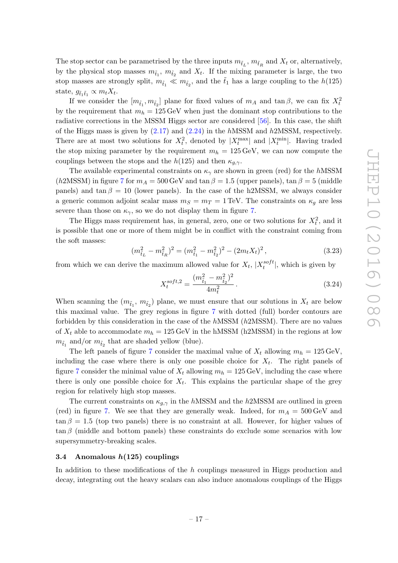The stop sector can be parametrised by the three inputs  $m_{\tilde{t}_L}$ ,  $m_{\tilde{t}_R}$  and  $X_t$  or, alternatively, by the physical stop masses  $m_{\tilde{t}_1}$ ,  $m_{\tilde{t}_2}$  and  $X_t$ . If the mixing parameter is large, the two stop masses are strongly split,  $m_{\tilde{t}_1} \ll m_{\tilde{t}_2}$ , and the  $\tilde{t}_1$  has a large coupling to the  $h(125)$ state,  $g_{\tilde{t}_1\tilde{t}_1} \propto m_t X_t$ .

If we consider the  $[m_{\tilde{t}_1}, m_{\tilde{t}_2}]$  plane for fixed values of  $m_A$  and  $\tan \beta$ , we can fix  $X_t^2$ by the requirement that  $m_h = 125 \,\text{GeV}$  when just the dominant stop contributions to the radiative corrections in the MSSM Higgs sector are considered [\[56\]](#page-25-2). In this case, the shift of the Higgs mass is given by  $(2.17)$  and  $(2.24)$  in the hMSSM and h2MSSM, respectively. There are at most two solutions for  $X_t^2$ , denoted by  $|X_t^{\max}|$  and  $|X_t^{\min}|$ . Having traded the stop mixing parameter by the requirement  $m_h = 125 \,\text{GeV}$ , we can now compute the couplings between the stops and the  $h(125)$  and then  $\kappa_{g,\gamma}$ .

The available experimental constraints on  $\kappa_{\gamma}$  are shown in green (red) for the hMSSM (h2MSSM) in figure [7](#page-18-0) for  $m_A = 500 \,\text{GeV}$  and  $\tan \beta = 1.5$  (upper panels),  $\tan \beta = 5$  (middle panels) and  $tan \beta = 10$  (lower panels). In the case of the h2MSSM, we always consider a generic common adjoint scalar mass  $m_S = m_T = 1 \text{ TeV}$ . The constraints on  $\kappa_g$  are less severe than those on  $\kappa_{\gamma}$ , so we do not display them in figure [7](#page-18-0).

The Higgs mass requirement has, in general, zero, one or two solutions for  $X_t^2$ , and it is possible that one or more of them might be in conflict with the constraint coming from the soft masses:

$$
(m_{\tilde{t}_L}^2 - m_{\tilde{t}_R}^2)^2 = (m_{\tilde{t}_1}^2 - m_{\tilde{t}_2}^2)^2 - (2m_t X_t)^2, \qquad (3.23)
$$

from which we can derive the maximum allowed value for  $X_t$ ,  $|X_t^{soft}|$ , which is given by

$$
X_t^{soft,2} = \frac{(m_{\tilde{t}_1}^2 - m_{\tilde{t}_2}^2)^2}{4m_t^2}.
$$
\n(3.24)

When scanning the  $(m_{\tilde{t}_1}, m_{\tilde{t}_2})$  plane, we must ensure that our solutions in  $X_t$  are below this maximal value. The grey regions in figure [7](#page-18-0) with dotted (full) border contours are forbidden by this consideration in the case of the hMSSM (h2MSSM). There are no values of  $X_t$  able to accommodate  $m_h = 125 \,\text{GeV}$  in the hMSSM (h2MSSM) in the regions at low  $m_{\tilde{t}_1}$  and/or  $m_{\tilde{t}_2}$  that are shaded yellow (blue).

The left panels of figure [7](#page-18-0) consider the maximal value of  $X_t$  allowing  $m_h = 125 \,\text{GeV}$ , including the case where there is only one possible choice for  $X_t$ . The right panels of figure [7](#page-18-0) consider the minimal value of  $X_t$  allowing  $m_h = 125 \,\text{GeV}$ , including the case where there is only one possible choice for  $X_t$ . This explains the particular shape of the grey region for relatively high stop masses.

<span id="page-18-0"></span>The current constraints on  $\kappa_{g,\gamma}$  in the hMSSM and the h2MSSM are outlined in green (red) in figure [7.](#page-18-0) We see that they are generally weak. Indeed, for  $m_A = 500 \,\text{GeV}$  and  $\tan \beta = 1.5$  (top two panels) there is no constraint at all. However, for higher values of  $\tan \beta$  (middle and bottom panels) these constraints do exclude some scenarios with low supersymmetry-breaking scales.

#### $3.4$  Anomalous  $h(125)$  couplings

In addition to these modifications of the h couplings measured in Higgs production and decay, integrating out the heavy scalars can also induce anomalous couplings of the Higgs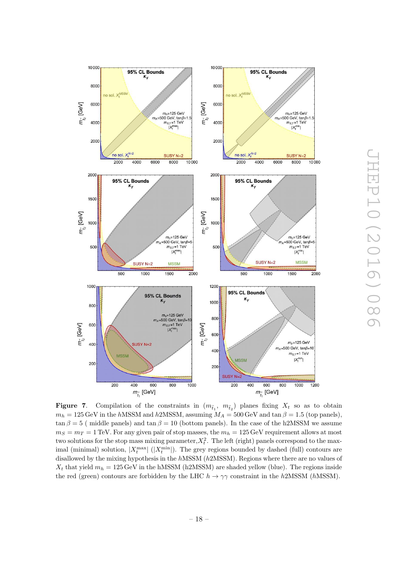<span id="page-19-0"></span>

**Figure 7.** Compilation of the constraints in  $(m_{\tilde{t}_1}, m_{\tilde{t}_2})$  planes fixing  $X_t$  so as to obtain  $m_h = 125 \,\text{GeV}$  in the hMSSM and h2MSSM, assuming  $M_A = 500 \,\text{GeV}$  and  $\tan \beta = 1.5$  (top panels),  $\tan \beta = 5$  ( middle panels) and  $\tan \beta = 10$  (bottom panels). In the case of the h2MSSM we assume  $m_S = m_T = 1$  TeV. For any given pair of stop masses, the  $m_h = 125$  GeV requirement allows at most two solutions for the stop mass mixing parameter,  $X_t^2$ . The left (right) panels correspond to the maximal (minimal) solution,  $|X_t^{\max}|$  ( $|X_t^{\min}|$ ). The grey regions bounded by dashed (full) contours are disallowed by the mixing hypothesis in the hMSSM (h2MSSM). Regions where there are no values of  $X_t$  that yield  $m_h = 125 \,\text{GeV}$  in the hMSSM (h2MSSM) are shaded yellow (blue). The regions inside the red (green) contours are forbidden by the LHC  $h \to \gamma\gamma$  constraint in the h2MSSM (hMSSM).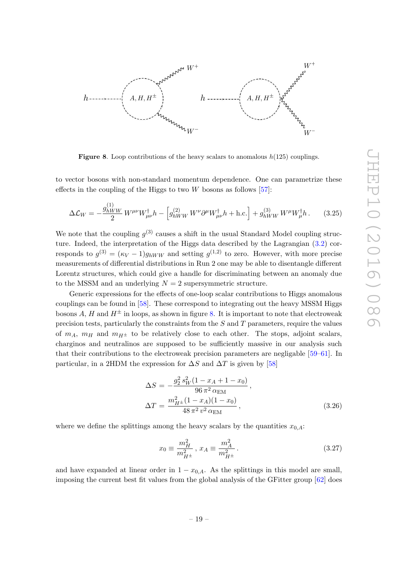

**Figure 8.** Loop contributions of the heavy scalars to anomalous  $h(125)$  couplings.

to vector bosons with non-standard momentum dependence. One can parametrize these effects in the coupling of the Higgs to two  $W$  bosons as follows [\[57\]](#page-25-3):

$$
\Delta \mathcal{L}_W = -\frac{g_{hWW}^{(1)}}{2} W^{\mu\nu} W_{\mu\nu}^{\dagger} h - \left[ g_{hWW}^{(2)} W^{\nu} \partial^{\mu} W_{\mu\nu}^{\dagger} h + \text{h.c.} \right] + g_{hWW}^{(3)} W^{\mu} W_{\mu}^{\dagger} h. \tag{3.25}
$$

We note that the coupling  $g^{(3)}$  causes a shift in the usual Standard Model coupling structure. Indeed, the interpretation of the Higgs data described by the Lagrangian [\(3.2\)](#page-12-3) corresponds to  $g^{(3)} = (\kappa_V - 1)g_{hWW}$  and setting  $g^{(1,2)}$  to zero. However, with more precise measurements of differential distributions in Run 2 one may be able to disentangle different Lorentz structures, which could give a handle for discriminating between an anomaly due to the MSSM and an underlying  $N = 2$  supersymmetric structure.

Generic expressions for the effects of one-loop scalar contributions to Higgs anomalous couplings can be found in [\[58\]](#page-25-4). These correspond to integrating out the heavy MSSM Higgs bosons A, H and  $H^{\pm}$  in loops, as shown in figure [8.](#page-19-0) It is important to note that electroweak precision tests, particularly the constraints from the  $S$  and  $T$  parameters, require the values of  $m_A$ ,  $m_H$  and  $m_{H^{\pm}}$  to be relatively close to each other. The stops, adjoint scalars, charginos and neutralinos are supposed to be sufficiently massive in our analysis such that their contributions to the electroweak precision parameters are negligable [\[59](#page-25-5) [–61\]](#page-25-6). In particular, in a 2HDM the expression for  $\Delta S$  and  $\Delta T$  is given by [\[58](#page-25-4)]

$$
\Delta S = -\frac{g_2^2 s_W^2 (1 - x_A + 1 - x_0)}{96 \pi^2 \alpha_{\text{EM}}} ,
$$
  
\n
$$
\Delta T = \frac{m_{H^{\pm}}^2 (1 - x_A)(1 - x_0)}{48 \pi^2 v^2 \alpha_{\text{EM}}} ,
$$
\n(3.26)

where we define the splittings among the heavy scalars by the quantities  $x_{0,A}$ :

$$
x_0 \equiv \frac{m_H^2}{m_{H^\pm}^2}, \ x_A \equiv \frac{m_A^2}{m_{H^\pm}^2} \,. \tag{3.27}
$$

<span id="page-20-0"></span>and have expanded at linear order in  $1 - x_{0,A}$ . As the splittings in this model are small, imposing the current best fit values from the global analysis of the GFitter group [\[62\]](#page-25-7) does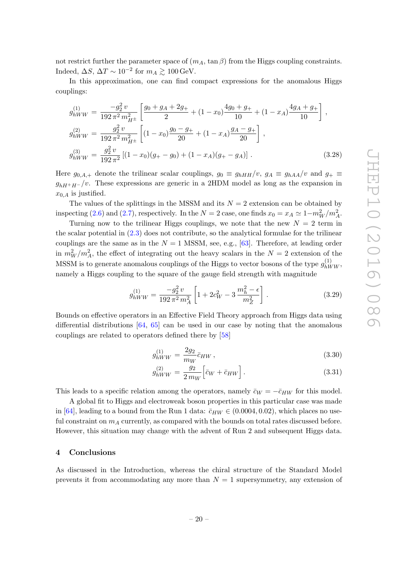not restrict further the parameter space of  $(m_A, \tan \beta)$  from the Higgs coupling constraints. Indeed,  $\Delta S$ ,  $\Delta T \sim 10^{-2}$  for  $m_A \gtrsim 100 \,\text{GeV}$ .

In this approximation, one can find compact expressions for the anomalous Higgs couplings:

$$
g_{hWW}^{(1)} = \frac{-g_2^2 v}{192 \pi^2 m_{H^{\pm}}^2} \left[ \frac{g_0 + g_A + 2g_+}{2} + (1 - x_0) \frac{4g_0 + g_+}{10} + (1 - x_A) \frac{4g_A + g_+}{10} \right],
$$
  
\n
$$
g_{hWW}^{(2)} = \frac{g_2^2 v}{192 \pi^2 m_{H^{\pm}}^2} \left[ (1 - x_0) \frac{g_0 - g_+}{20} + (1 - x_A) \frac{g_A - g_+}{20} \right],
$$
  
\n
$$
g_{hWW}^{(3)} = \frac{g_2^2 v}{192 \pi^2} \left[ (1 - x_0)(g_+ - g_0) + (1 - x_A)(g_+ - g_A) \right].
$$
\n(3.28)

Here  $g_{0,A,+}$  denote the trilinear scalar couplings,  $g_0 \equiv g_{hHH}/v$ ,  $g_A \equiv g_{hAA}/v$  and  $g_+ \equiv$  $g_{hH^+H^-}/v$ . These expressions are generic in a 2HDM model as long as the expansion in  $x_{0,A}$  is justified.

The values of the splittings in the MSSM and its  $N = 2$  extension can be obtained by inspecting [\(2.6\)](#page-4-3) and [\(2.7\)](#page-4-5), respectively. In the  $N = 2$  case, one finds  $x_0 = x_A \simeq 1 - m_W^2/m_A^2$ .

Turning now to the trilinear Higgs couplings, we note that the new  $N = 2$  term in the scalar potential in [\(2.3\)](#page-4-0) does not contribute, so the analytical formulae for the trilinear couplings are the same as in the  $N = 1$  MSSM, see, e.g., [\[63\]](#page-25-8). Therefore, at leading order in  $m_W^2/m_A^2$ , the effect of integrating out the heavy scalars in the  $N=2$  extension of the MSSM is to generate anomalous couplings of the Higgs to vector bosons of the type  $g_{bW}^{(1)}$  $\int_{hWW}^{(1)}$ namely a Higgs coupling to the square of the gauge field strength with magnitude

$$
g_{hWW}^{(1)} = \frac{-g_2^2 v}{192 \pi^2 m_A^2} \left[ 1 + 2c_W^2 - 3 \frac{m_h^2 - \epsilon}{m_Z^2} \right].
$$
 (3.29)

Bounds on effective operators in an Effective Field Theory approach from Higgs data using differential distributions [\[64](#page-25-9) , [65\]](#page-25-10) can be used in our case by noting that the anomalous couplings are related to operators defined there by [\[58](#page-25-4) ]

$$
g_{hWW}^{(1)} = \frac{2g_2}{m_W} \bar{c}_{HW} \,, \tag{3.30}
$$

$$
g_{hWW}^{(2)} = \frac{g_2}{2\,m_W} \Big[ \bar{c}_W + \bar{c}_{HW} \Big] \,. \tag{3.31}
$$

This leads to a specific relation among the operators, namely  $\bar{c}_W = -\bar{c}_{HW}$  for this model.

A global fit to Higgs and electroweak boson properties in this particular case was made in [\[64\]](#page-25-9), leading to a bound from the Run 1 data:  $\bar{c}_{HW} \in (0.0004, 0.02)$ , which places no useful constraint on  $m_A$  currently, as compared with the bounds on total rates discussed before. However, this situation may change with the advent of Run 2 and subsequent Higgs data.

#### 4 Conclusions

As discussed in the Introduction, whereas the chiral structure of the Standard Model prevents it from accommodating any more than  $N=1$  supersymmetry, any extension of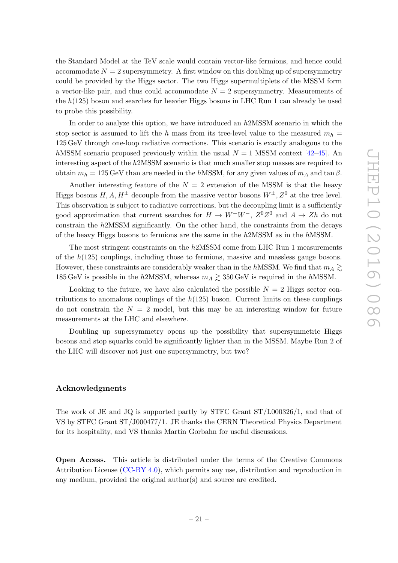<span id="page-22-0"></span>the Standard Model at the TeV scale would contain vector-like fermions, and hence could accommodate  $N = 2$  supersymmetry. A first window on this doubling up of supersymmetry could be provided by the Higgs sector. The two Higgs supermultiplets of the MSSM form a vector-like pair, and thus could accommodate  $N = 2$  supersymmetry. Measurements of the  $h(125)$  boson and searches for heavier Higgs bosons in LHC Run 1 can already be used to probe this possibility.

<span id="page-22-3"></span>In order to analyze this option, we have introduced an h2MSSM scenario in which the stop sector is assumed to lift the h mass from its tree-level value to the measured  $m_h =$ 125 GeV through one-loop radiative corrections. This scenario is exactly analogous to the hMSSM scenario proposed previously within the usual  $N = 1$  MSSM context [\[42–](#page-24-5)[45\]](#page-24-11). An interesting aspect of the h2MSSM scenario is that much smaller stop masses are required to obtain  $m_h = 125 \,\text{GeV}$  than are needed in the hMSSM, for any given values of  $m_A$  and  $\tan \beta$ .

Another interesting feature of the  $N=2$  extension of the MSSM is that the heavy Higgs bosons  $H, A, H^{\pm}$  decouple from the massive vector bosons  $W^{\pm}, Z^0$  at the tree level. This observation is subject to radiative corrections, but the decoupling limit is a sufficiently good approximation that current searches for  $H \to W^+W^-$ ,  $Z^0Z^0$  and  $A \to Zh$  do not constrain the h2MSSM significantly. On the other hand, the constraints from the decays of the heavy Higgs bosons to fermions are the same in the h2MSSM as in the hMSSM.

<span id="page-22-4"></span>The most stringent constraints on the h2MSSM come from LHC Run 1 measurements of the  $h(125)$  couplings, including those to fermions, massive and massless gauge bosons. However, these constraints are considerably weaker than in the  $h{\rm MSSM}$ . We find that  $m_A \gtrsim$  $185 \,\text{GeV}$  is possible in the  $h2\text{MSSM}$ , whereas  $m_A \gtrsim 350 \,\text{GeV}$  is required in the  $h\text{MSSM}$ .

<span id="page-22-2"></span><span id="page-22-1"></span>Looking to the future, we have also calculated the possible  $N = 2$  Higgs sector contributions to anomalous couplings of the  $h(125)$  boson. Current limits on these couplings do not constrain the  $N = 2$  model, but this may be an interesting window for future measurements at the LHC and elsewhere.

Doubling up supersymmetry opens up the possibility that supersymmetric Higgs bosons and stop squarks could be significantly lighter than in the MSSM. Maybe Run 2 of the LHC will discover not just one supersymmetry, but two?

### Acknowledgments

The work of JE and JQ is supported partly by STFC Grant ST/L000326/1, and that of VS by STFC Grant ST/J000477/1. JE thanks the CERN Theoretical Physics Department for its hospitality, and VS thanks Martin Gorbahn for useful discussions.

Open Access. This article is distributed under the terms of the Creative Commons Attribution License [\(CC-BY 4.0\)](http://creativecommons.org/licenses/by/4.0/), which permits any use, distribution and reproduction in any medium, provided the original author(s) and source are credited.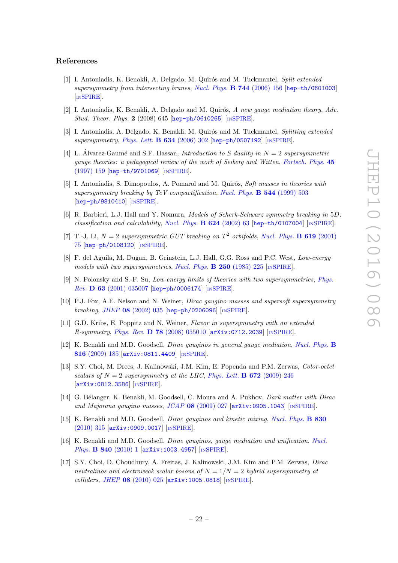#### References

- [1] I. Antoniadis, K. Benakli, A. Delgado, M. Quirós and M. Tuckmantel, Split extended supersymmetry from intersecting branes, [Nucl. Phys.](http://dx.doi.org/10.1016/j.nuclphysb.2006.03.012) **B 744** (2006) 156 [[hep-th/0601003](https://arxiv.org/abs/hep-th/0601003)] [IN[SPIRE](http://inspirehep.net/search?p=find+EPRINT+hep-th/0601003)].
- [2] I. Antoniadis, K. Benakli, A. Delgado and M. Quirós, A new gauge mediation theory, Adv. Stud. Theor. Phys. 2 (2008) 645 [[hep-ph/0610265](https://arxiv.org/abs/hep-ph/0610265)] [IN[SPIRE](http://inspirehep.net/search?p=find+EPRINT+hep-ph/0610265)].
- [3] I. Antoniadis, A. Delgado, K. Benakli, M. Quirós and M. Tuckmantel, Splitting extended supersymmetry, [Phys. Lett.](http://dx.doi.org/10.1016/j.physletb.2006.01.010) **B 634** (2006) 302 [[hep-ph/0507192](https://arxiv.org/abs/hep-ph/0507192)] [IN[SPIRE](http://inspirehep.net/search?p=find+EPRINT+hep-ph/0507192)].
- [4] L. Álvarez-Gaumé and S.F. Hassan, *Introduction to S duality in*  $N = 2$  supersymmetric gauge theories: a pedagogical review of the work of Seiberg and Witten, [Fortsch. Phys.](http://dx.doi.org/10.1002/prop.2190450302) 45 [\(1997\) 159](http://dx.doi.org/10.1002/prop.2190450302) [[hep-th/9701069](https://arxiv.org/abs/hep-th/9701069)] [IN[SPIRE](http://inspirehep.net/search?p=find+EPRINT+hep-th/9701069)].
- [5] I. Antoniadis, S. Dimopoulos, A. Pomarol and M. Quirós, Soft masses in theories with supersymmetry breaking by TeV compactification, [Nucl. Phys.](http://dx.doi.org/10.1016/S0550-3213(99)00037-1)  $\bf{B}$  544 (1999) 503 [[hep-ph/9810410](https://arxiv.org/abs/hep-ph/9810410)] [IN[SPIRE](http://inspirehep.net/search?p=find+EPRINT+hep-ph/9810410)].
- [6] R. Barbieri, L.J. Hall and Y. Nomura, Models of Scherk-Schwarz symmetry breaking in 5D. classification and calculability, [Nucl. Phys.](http://dx.doi.org/10.1016/S0550-3213(01)00649-6) **B 624** (2002) 63 [[hep-th/0107004](https://arxiv.org/abs/hep-th/0107004)] [IN[SPIRE](http://inspirehep.net/search?p=find+EPRINT+hep-th/0107004)].
- [7] T.-J. Li,  $N = 2$  supersymmetric GUT breaking on  $T^2$  orbifolds, [Nucl. Phys.](http://dx.doi.org/10.1016/S0550-3213(01)00545-4) **B 619** (2001) [75](http://dx.doi.org/10.1016/S0550-3213(01)00545-4) [[hep-ph/0108120](https://arxiv.org/abs/hep-ph/0108120)] [IN[SPIRE](http://inspirehep.net/search?p=find+EPRINT+hep-ph/0108120)].
- [8] F. del Aguila, M. Dugan, B. Grinstein, L.J. Hall, G.G. Ross and P.C. West, Low-energy models with two supersymmetries, [Nucl. Phys.](http://dx.doi.org/10.1016/0550-3213(85)90480-8)  $\bf{B}$  250 (1985) 225 [IN[SPIRE](http://inspirehep.net/search?p=find+J+%22Nucl.Phys.,B250,225%22)].
- [9] N. Polonsky and S.-F. Su, Low-energy limits of theories with two supersymmetries , [Phys.](http://dx.doi.org/10.1103/PhysRevD.63.035007) Rev. D 63 [\(2001\) 035007](http://dx.doi.org/10.1103/PhysRevD.63.035007) [[hep-ph/0006174](https://arxiv.org/abs/hep-ph/0006174)] [IN[SPIRE](http://inspirehep.net/search?p=find+EPRINT+hep-ph/0006174)].
- [10] P.J. Fox, A.E. Nelson and N. Weiner, Dirac gaugino masses and supersoft supersymmetry breaking, JHEP 08 [\(2002\) 035](http://dx.doi.org/10.1088/1126-6708/2002/08/035) [[hep-ph/0206096](https://arxiv.org/abs/hep-ph/0206096)] [IN[SPIRE](http://inspirehep.net/search?p=find+EPRINT+hep-ph/0206096)].
- [11] G.D. Kribs, E. Poppitz and N. Weiner, Flavor in supersymmetry with an extended  $R\text{-symmetry}, Phys. Rev. \textbf{D}$  78 [\(2008\) 055010](http://dx.doi.org/10.1103/PhysRevD.78.055010)  $[\text{arXiv:0712.2039}]$  $[\text{arXiv:0712.2039}]$  $[\text{arXiv:0712.2039}]$   $[\text{nSPIRE}]$  $[\text{nSPIRE}]$  $[\text{nSPIRE}]$ .
- [12] K. Benakli and M.D. Goodsell, *Dirac gauginos in general gauge mediation*, *[Nucl. Phys.](http://dx.doi.org/10.1016/j.nuclphysb.2009.03.002)* **B** 816 [\(2009\) 185](http://dx.doi.org/10.1016/j.nuclphysb.2009.03.002) [[arXiv:0811.4409](https://arxiv.org/abs/0811.4409)] [IN[SPIRE](http://inspirehep.net/search?p=find+EPRINT+arXiv:0811.4409)].
- [13] S.Y. Choi, M. Drees, J. Kalinowski, J.M. Kim, E. Popenda and P.M. Zerwas, Color-octet scalars of  $N = 2$  supersymmetry at the LHC, [Phys. Lett.](http://dx.doi.org/10.1016/j.physletb.2009.01.040) **B 672** (2009) 246 [[arXiv:0812.3586](https://arxiv.org/abs/0812.3586)] [IN[SPIRE](http://inspirehep.net/search?p=find+EPRINT+arXiv:0812.3586)].
- [14] G. Bélanger, K. Benakli, M. Goodsell, C. Moura and A. Pukhov, *Dark matter with Dirac* and Majorana gaugino masses, JCAP 08 [\(2009\) 027](http://dx.doi.org/10.1088/1475-7516/2009/08/027) [[arXiv:0905.1043](https://arxiv.org/abs/0905.1043)] [IN[SPIRE](http://inspirehep.net/search?p=find+EPRINT+arXiv:0905.1043)].
- [15] K. Benakli and M.D. Goodsell, *Dirac gauginos and kinetic mixing*, *[Nucl. Phys.](http://dx.doi.org/10.1016/j.nuclphysb.2010.01.003)* **B 830** [\(2010\) 315](http://dx.doi.org/10.1016/j.nuclphysb.2010.01.003) [[arXiv:0909.0017](https://arxiv.org/abs/0909.0017)] [IN[SPIRE](http://inspirehep.net/search?p=find+EPRINT+arXiv:0909.0017)].
- [16] K. Benakli and M.D. Goodsell, *Dirac gauginos, gauge mediation and unification*, *[Nucl.](http://dx.doi.org/10.1016/j.nuclphysb.2010.06.018)* Phys. **B 840** [\(2010\) 1](http://dx.doi.org/10.1016/j.nuclphysb.2010.06.018) [[arXiv:1003.4957](https://arxiv.org/abs/1003.4957)] [IN[SPIRE](http://inspirehep.net/search?p=find+EPRINT+arXiv:1003.4957)].
- [17] S.Y. Choi, D. Choudhury, A. Freitas, J. Kalinowski, J.M. Kim and P.M. Zerwas, Dirac neutralinos and electroweak scalar bosons of  $N = 1/N = 2$  hybrid supersymmetry at colliders , JHEP 08 [\(2010\) 025](http://dx.doi.org/10.1007/JHEP08(2010)025) [[arXiv:1005.0818](https://arxiv.org/abs/1005.0818)] [IN[SPIRE](http://inspirehep.net/search?p=find+EPRINT+arXiv:1005.0818)].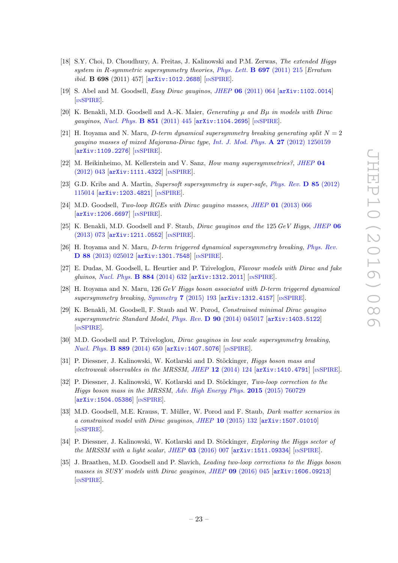- <span id="page-24-0"></span>[18] S.Y. Choi, D. Choudhury, A. Freitas, J. Kalinowski and P.M. Zerwas, The extended Higgs system in R-symmetric supersymmetry theories, [Phys. Lett.](http://dx.doi.org/10.1016/j.physletb.2011.01.059) **B 697** (2011) 215 [Erratum ibid. B 698 (2011) 457] [[arXiv:1012.2688](https://arxiv.org/abs/1012.2688)] [IN[SPIRE](http://inspirehep.net/search?p=find+EPRINT+arXiv:1012.2688)].
- <span id="page-24-1"></span>[19] S. Abel and M. Goodsell, *Easy Dirac gauginos*, *JHEP* **06** [\(2011\) 064](http://dx.doi.org/10.1007/JHEP06(2011)064) [[arXiv:1102.0014](https://arxiv.org/abs/1102.0014)] [IN[SPIRE](http://inspirehep.net/search?p=find+EPRINT+arXiv:1102.0014)].
- <span id="page-24-2"></span>[20] K. Benakli, M.D. Goodsell and A.-K. Maier, *Generating*  $\mu$  and  $B\mu$  in models with Dirac gauginos, [Nucl. Phys.](http://dx.doi.org/10.1016/j.nuclphysb.2011.06.001) **B 851** (2011) 445 [[arXiv:1104.2695](https://arxiv.org/abs/1104.2695)] [IN[SPIRE](http://inspirehep.net/search?p=find+EPRINT+arXiv:1104.2695)].
- <span id="page-24-3"></span>[21] H. Itoyama and N. Maru, *D-term dynamical supersymmetry breaking generating split*  $N = 2$ gaugino masses of mixed Majorana-Dirac type, [Int. J. Mod. Phys.](http://dx.doi.org/10.1142/S0217751X1250159X)  $\mathbf{A}$  27 (2012) 1250159 [[arXiv:1109.2276](https://arxiv.org/abs/1109.2276)] [IN[SPIRE](http://inspirehep.net/search?p=find+EPRINT+arXiv:1109.2276)].
- <span id="page-24-4"></span>[22] M. Heikinheimo, M. Kellerstein and V. Sanz, *How many supersymmetries?*, *[JHEP](http://dx.doi.org/10.1007/JHEP04(2012)043)* 04 [\(2012\) 043](http://dx.doi.org/10.1007/JHEP04(2012)043) [[arXiv:1111.4322](https://arxiv.org/abs/1111.4322)] [IN[SPIRE](http://inspirehep.net/search?p=find+EPRINT+arXiv:1111.4322)].
- [23] G.D. Kribs and A. Martin, Supersoft supersymmetry is super-safe, [Phys. Rev.](http://dx.doi.org/10.1103/PhysRevD.85.115014) D 85 (2012) [115014](http://dx.doi.org/10.1103/PhysRevD.85.115014) [[arXiv:1203.4821](https://arxiv.org/abs/1203.4821)] [IN[SPIRE](http://inspirehep.net/search?p=find+EPRINT+arXiv:1203.4821)].
- <span id="page-24-5"></span>[24] M.D. Goodsell, Two-loop RGEs with Dirac gaugino masses, JHEP 01 [\(2013\) 066](http://dx.doi.org/10.1007/JHEP01(2013)066) [[arXiv:1206.6697](https://arxiv.org/abs/1206.6697)] [IN[SPIRE](http://inspirehep.net/search?p=find+EPRINT+arXiv:1206.6697)].
- [25] K. Benakli, M.D. Goodsell and F. Staub, *Dirac gauginos and the*  $125 \text{ GeV}$  *Higgs, [JHEP](http://dx.doi.org/10.1007/JHEP06(2013)073)* 06 [\(2013\) 073](http://dx.doi.org/10.1007/JHEP06(2013)073) [[arXiv:1211.0552](https://arxiv.org/abs/1211.0552)] [IN[SPIRE](http://inspirehep.net/search?p=find+EPRINT+arXiv:1211.0552)].
- [26] H. Itoyama and N. Maru, *D-term triggered dynamical supersymmetry breaking*, *[Phys. Rev.](http://dx.doi.org/10.1103/PhysRevD.88.025012)*  $\bf{D}$  88  $(2013)$   $025012$   $[\rm{arXiv:1301.7548}]$  $[\rm{arXiv:1301.7548}]$  $[\rm{arXiv:1301.7548}]$   $[\rm{nsPIRE}]$ .
- <span id="page-24-11"></span>[27] E. Dudas, M. Goodsell, L. Heurtier and P. Tziveloglou, Flavour models with Dirac and fake gluinos, [Nucl. Phys.](http://dx.doi.org/10.1016/j.nuclphysb.2014.05.005) **B 884** (2014) 632 [[arXiv:1312.2011](https://arxiv.org/abs/1312.2011)] [IN[SPIRE](http://inspirehep.net/search?p=find+EPRINT+arXiv:1312.2011)].
- <span id="page-24-6"></span>[28] H. Itoyama and N. Maru, 126 GeV Higgs boson associated with D-term triggered dynamical supersymmetry breaking, Symmetry 7 [\(2015\) 193](http://dx.doi.org/10.3390/sym7010193) [[arXiv:1312.4157](https://arxiv.org/abs/1312.4157)] [IN[SPIRE](http://inspirehep.net/search?p=find+EPRINT+arXiv:1312.4157)].
- <span id="page-24-7"></span>[29] K. Benakli, M. Goodsell, F. Staub and W. Porod, Constrained minimal Dirac gaugino supersymmetric Standard Model, Phys. Rev. D 90 [\(2014\) 045017](http://dx.doi.org/10.1103/PhysRevD.90.045017) [[arXiv:1403.5122](https://arxiv.org/abs/1403.5122)] [IN[SPIRE](http://inspirehep.net/search?p=find+EPRINT+arXiv:1403.5122)].
- <span id="page-24-8"></span>[30] M.D. Goodsell and P. Tziveloglou, *Dirac gauginos in low scale supersymmetry breaking*, [Nucl. Phys.](http://dx.doi.org/10.1016/j.nuclphysb.2014.10.020) **B 889** (2014) 650 [[arXiv:1407.5076](https://arxiv.org/abs/1407.5076)] [IN[SPIRE](http://inspirehep.net/search?p=find+EPRINT+arXiv:1407.5076)].
- <span id="page-24-9"></span>[31] P. Diessner, J. Kalinowski, W. Kotlarski and D. Stöckinger, *Higgs boson mass and* electroweak observables in the MRSSM, JHEP  $12$  [\(2014\) 124](http://dx.doi.org/10.1007/JHEP12(2014)124)  $[\text{arXiv:1410.4791}]$  $[\text{arXiv:1410.4791}]$  $[\text{arXiv:1410.4791}]$  [IN[SPIRE](http://inspirehep.net/search?p=find+EPRINT+arXiv:1410.4791)].
- <span id="page-24-10"></span>[32] P. Diessner, J. Kalinowski, W. Kotlarski and D. Stöckinger, Two-loop correction to the Higgs boson mass in the MRSSM, [Adv. High Energy Phys.](http://dx.doi.org/10.1155/2015/760729) 2015 (2015) 760729 [[arXiv:1504.05386](https://arxiv.org/abs/1504.05386)] [IN[SPIRE](http://inspirehep.net/search?p=find+EPRINT+arXiv:1504.05386)].
- <span id="page-24-12"></span>[33] M.D. Goodsell, M.E. Krauss, T. Müller, W. Porod and F. Staub, *Dark matter scenarios in* a constrained model with Dirac gauginos, JHEP 10 [\(2015\) 132](http://dx.doi.org/10.1007/JHEP10(2015)132) [[arXiv:1507.01010](https://arxiv.org/abs/1507.01010)] [IN[SPIRE](http://inspirehep.net/search?p=find+EPRINT+arXiv:1507.01010)].
- <span id="page-24-13"></span>[34] P. Diessner, J. Kalinowski, W. Kotlarski and D. Stöckinger, Exploring the Higgs sector of the MRSSM with a light scalar, JHEP  $03$  [\(2016\) 007](http://dx.doi.org/10.1007/JHEP03(2016)007) [[arXiv:1511.09334](https://arxiv.org/abs/1511.09334)] [IN[SPIRE](http://inspirehep.net/search?p=find+EPRINT+arXiv:1511.09334)].
- <span id="page-24-14"></span>[35] J. Braathen, M.D. Goodsell and P. Slavich, Leading two-loop corrections to the Higgs boson masses in SUSY models with Dirac gauginos, JHEP 09 [\(2016\) 045](http://dx.doi.org/10.1007/JHEP09(2016)045) [[arXiv:1606.09213](https://arxiv.org/abs/1606.09213)] [IN[SPIRE](http://inspirehep.net/search?p=find+EPRINT+arXiv:1606.09213)].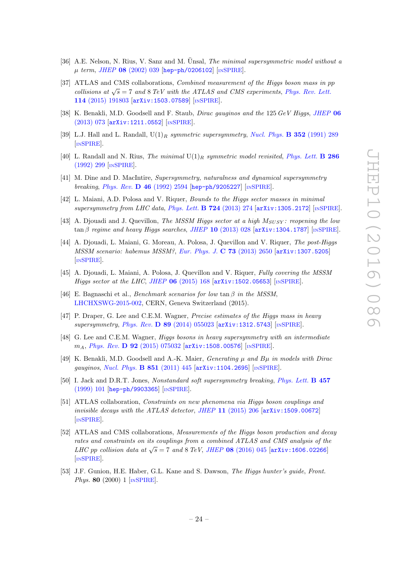- <span id="page-25-0"></span>[36] A.E. Nelson, N. Rius, V. Sanz and M. Unsal, *The minimal supersymmetric model without a*  $\mu$  term, JHEP 08 [\(2002\) 039](http://dx.doi.org/10.1088/1126-6708/2002/08/039) [[hep-ph/0206102](https://arxiv.org/abs/hep-ph/0206102)] [IN[SPIRE](http://inspirehep.net/search?p=find+EPRINT+hep-ph/0206102)].
- <span id="page-25-1"></span>[37] ATLAS and CMS collaborations, Combined measurement of the Higgs boson mass in pp collisions at  $\sqrt{s} = 7$  and 8 TeV with the ATLAS and CMS experiments, [Phys. Rev. Lett.](http://dx.doi.org/10.1103/PhysRevLett.114.191803) 114 [\(2015\) 191803](http://dx.doi.org/10.1103/PhysRevLett.114.191803) [[arXiv:1503.07589](https://arxiv.org/abs/1503.07589)] [IN[SPIRE](http://inspirehep.net/search?p=find+EPRINT+arXiv:1503.07589)].
- <span id="page-25-2"></span>[38] K. Benakli, M.D. Goodsell and F. Staub, *Dirac gauginos and the* 125 GeV Higgs, [JHEP](http://dx.doi.org/10.1007/JHEP06(2013)073) 06 [\(2013\) 073](http://dx.doi.org/10.1007/JHEP06(2013)073) [[arXiv:1211.0552](https://arxiv.org/abs/1211.0552)] [IN[SPIRE](http://inspirehep.net/search?p=find+EPRINT+arXiv:1211.0552)].
- <span id="page-25-3"></span>[39] L.J. Hall and L. Randall,  $U(1)_R$  symmetric supersymmetry, [Nucl. Phys.](http://dx.doi.org/10.1016/0550-3213(91)90444-3) **B** 352 (1991) 289 [IN[SPIRE](http://inspirehep.net/search?p=find+J+%22Nucl.Phys.,B352,289%22)].
- <span id="page-25-4"></span>[40] L. Randall and N. Rius, *The minimal*  $U(1)_R$  symmetric model revisited, *[Phys. Lett.](http://dx.doi.org/10.1016/0370-2693(92)91779-9)* **B** 286 [\(1992\) 299](http://dx.doi.org/10.1016/0370-2693(92)91779-9) [IN[SPIRE](http://inspirehep.net/search?p=find+J+%22Phys.Lett.,B286,299%22)].
- <span id="page-25-5"></span>[41] M. Dine and D. MacIntire, Supersymmetry, naturalness and dynamical supersymmetry breaking, Phys. Rev. **D 46** [\(1992\) 2594](http://dx.doi.org/10.1103/PhysRevD.46.2594) [[hep-ph/9205227](https://arxiv.org/abs/hep-ph/9205227)] [IN[SPIRE](http://inspirehep.net/search?p=find+EPRINT+hep-ph/9205227)].
- [42] L. Maiani, A.D. Polosa and V. Riquer, Bounds to the Higgs sector masses in minimal supersymmetry from LHC data, [Phys. Lett.](http://dx.doi.org/10.1016/j.physletb.2013.06.026) **B** 724 (2013) 274  $\left[$ [arXiv:1305.2172](https://arxiv.org/abs/1305.2172) $\right]$  [IN[SPIRE](http://inspirehep.net/search?p=find+EPRINT+arXiv:1305.2172)].
- <span id="page-25-6"></span>[43] A. Djouadi and J. Quevillon, The MSSM Higgs sector at a high  $M_{SUSY}$ : reopening the low  $\tan\beta$  regime and heavy Higgs searches, JHEP 10 [\(2013\) 028](http://dx.doi.org/10.1007/JHEP10(2013)028)  $\left[\text{arXiv:1304}.1787\right]$  [IN[SPIRE](http://inspirehep.net/search?p=find+EPRINT+arXiv:1304.1787)].
- <span id="page-25-7"></span>[44] A. Djouadi, L. Maiani, G. Moreau, A. Polosa, J. Quevillon and V. Riquer, The post-Higgs MSSM scenario: habemus MSSM?, [Eur. Phys. J.](http://dx.doi.org/10.1140/epjc/s10052-013-2650-0) C 73 (2013) 2650 [[arXiv:1307.5205](https://arxiv.org/abs/1307.5205)] [IN[SPIRE](http://inspirehep.net/search?p=find+EPRINT+arXiv:1307.5205)].
- <span id="page-25-8"></span>[45] A. Djouadi, L. Maiani, A. Polosa, J. Quevillon and V. Riquer, Fully covering the MSSM Higgs sector at the LHC, JHEP  $06$  [\(2015\) 168](http://dx.doi.org/10.1007/JHEP06(2015)168)  $\left[$ [arXiv:1502.05653](https://arxiv.org/abs/1502.05653)]  $\left[$ IN[SPIRE](http://inspirehep.net/search?p=find+EPRINT+arXiv:1502.05653) $\right]$ .
- <span id="page-25-9"></span>[46] E. Bagnaschi et al., *Benchmark scenarios for low*  $\tan \beta$  in the MSSM, [LHCHXSWG-2015-002,](https://cds.cern.ch/record/2039911) CERN, Geneva Switzerland (2015).
- <span id="page-25-10"></span>[47] P. Draper, G. Lee and C.E.M. Wagner, Precise estimates of the Higgs mass in heavy supersymmetry, Phys. Rev. D 89 [\(2014\) 055023](http://dx.doi.org/10.1103/PhysRevD.89.055023) [[arXiv:1312.5743](https://arxiv.org/abs/1312.5743)] [IN[SPIRE](http://inspirehep.net/search?p=find+J+%22Phys.Rev.,D89,055023%22)].
- [48] G. Lee and C.E.M. Wagner, Higgs bosons in heavy supersymmetry with an intermediate  $m_A$ , *Phys. Rev.* **D 92** [\(2015\) 075032](http://dx.doi.org/10.1103/PhysRevD.92.075032) [[arXiv:1508.00576](https://arxiv.org/abs/1508.00576)] [IN[SPIRE](http://inspirehep.net/search?p=find+J+%22Phys.Rev.,D92,075032%22)].
- [49] K. Benakli, M.D. Goodsell and A.-K. Maier, *Generating*  $\mu$  and  $B\mu$  in models with Dirac gauginos, [Nucl. Phys.](http://dx.doi.org/10.1016/j.nuclphysb.2011.06.001) **B 851** (2011) 445 [[arXiv:1104.2695](https://arxiv.org/abs/1104.2695)] [IN[SPIRE](http://inspirehep.net/search?p=find+EPRINT+arXiv:1104.2695)].
- [50] I. Jack and D.R.T. Jones, Nonstandard soft supersymmetry breaking, [Phys. Lett.](http://dx.doi.org/10.1016/S0370-2693(99)00530-4) **B** 457 [\(1999\) 101](http://dx.doi.org/10.1016/S0370-2693(99)00530-4) [[hep-ph/9903365](https://arxiv.org/abs/hep-ph/9903365)] [IN[SPIRE](http://inspirehep.net/search?p=find+EPRINT+hep-ph/9903365)].
- [51] ATLAS collaboration, Constraints on new phenomena via Higgs boson couplings and invisible decays with the ATLAS detector, JHEP  $11$  [\(2015\) 206](http://dx.doi.org/10.1007/JHEP11(2015)206) [[arXiv:1509.00672](https://arxiv.org/abs/1509.00672)] [IN[SPIRE](http://inspirehep.net/search?p=find+EPRINT+arXiv:1509.00672)].
- [52] ATLAS and CMS collaborations, Measurements of the Higgs boson production and decay rates and constraints on its couplings from a combined ATLAS and CMS analysis of the LHC pp collision data at  $\sqrt{s} = 7$  and  $8 \text{ TeV}$ , JHEP 08 [\(2016\) 045](http://dx.doi.org/10.1007/JHEP08(2016)045) [[arXiv:1606.02266](https://arxiv.org/abs/1606.02266)] [IN[SPIRE](http://inspirehep.net/search?p=find+EPRINT+arXiv:1606.02266)].
- [53] J.F. Gunion, H.E. Haber, G.L. Kane and S. Dawson, The Higgs hunter's guide, Front. *Phys.* **80** (2000) 1  $[N\text{SPIRE}]$  $[N\text{SPIRE}]$  $[N\text{SPIRE}]$ .